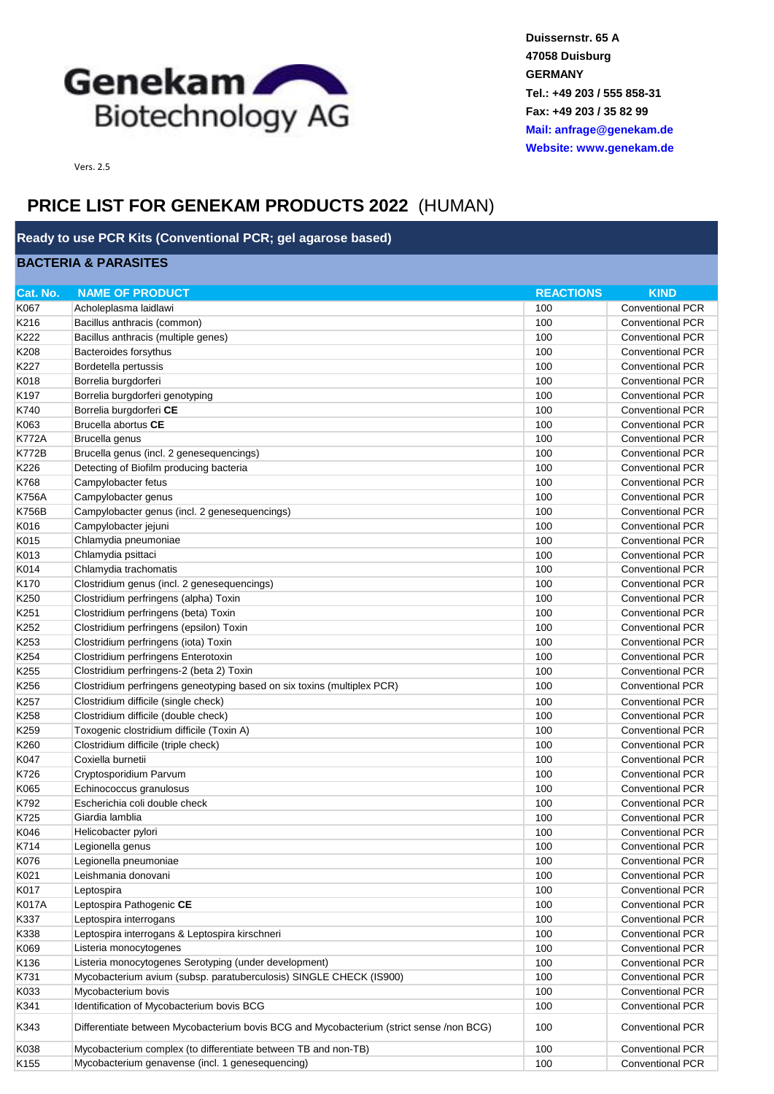

**Duissernstr. 65 A 47058 Duisburg GERMANY Tel.: +49 203 / 555 858-31 Fax: +49 203 / 35 82 99 [Mail: anfrage@](mailto:anfrage@genekam.de)genekam.de [Website: www.](http://www.genekam.de/)genekam.de**

Vers. 2.5

## **PRICE LIST FOR GENEKAM PRODUCTS 2022** (HUMAN)

## **Ready to use PCR Kits (Conventional PCR; gel agarose based)**

## **BACTERIA & PARASITES**

| Cat. No.         | <b>NAME OF PRODUCT</b>                                                                  | <b>REACTIONS</b> | <b>KIND</b>             |
|------------------|-----------------------------------------------------------------------------------------|------------------|-------------------------|
| K067             | Acholeplasma laidlawi                                                                   | 100              | <b>Conventional PCR</b> |
| K216             | Bacillus anthracis (common)                                                             | 100              | <b>Conventional PCR</b> |
| K222             | Bacillus anthracis (multiple genes)                                                     | 100              | <b>Conventional PCR</b> |
| K208             | Bacteroides forsythus                                                                   | 100              | <b>Conventional PCR</b> |
| K227             | Bordetella pertussis                                                                    | 100              | <b>Conventional PCR</b> |
| K018             | Borrelia burgdorferi                                                                    | 100              | <b>Conventional PCR</b> |
| K <sub>197</sub> | Borrelia burgdorferi genotyping                                                         | 100              | <b>Conventional PCR</b> |
| K740             | Borrelia burgdorferi CE                                                                 | 100              | <b>Conventional PCR</b> |
| K063             | Brucella abortus CE                                                                     | 100              | <b>Conventional PCR</b> |
| K772A            | Brucella genus                                                                          | 100              | <b>Conventional PCR</b> |
| <b>K772B</b>     | Brucella genus (incl. 2 genesequencings)                                                | 100              | <b>Conventional PCR</b> |
| K226             | Detecting of Biofilm producing bacteria                                                 | 100              | <b>Conventional PCR</b> |
| K768             | Campylobacter fetus                                                                     | 100              | <b>Conventional PCR</b> |
| <b>K756A</b>     | Campylobacter genus                                                                     | 100              | <b>Conventional PCR</b> |
| <b>K756B</b>     | Campylobacter genus (incl. 2 genesequencings)                                           | 100              | <b>Conventional PCR</b> |
| K016             | Campylobacter jejuni                                                                    | 100              | <b>Conventional PCR</b> |
| K015             | Chlamydia pneumoniae                                                                    | 100              | <b>Conventional PCR</b> |
| K013             | Chlamydia psittaci                                                                      | 100              | <b>Conventional PCR</b> |
| K014             | Chlamydia trachomatis                                                                   | 100              | <b>Conventional PCR</b> |
| K <sub>170</sub> | Clostridium genus (incl. 2 genesequencings)                                             | 100              | <b>Conventional PCR</b> |
| K <sub>250</sub> | Clostridium perfringens (alpha) Toxin                                                   | 100              | <b>Conventional PCR</b> |
| K251             | Clostridium perfringens (beta) Toxin                                                    | 100              | <b>Conventional PCR</b> |
| K <sub>252</sub> | Clostridium perfringens (epsilon) Toxin                                                 | 100              | <b>Conventional PCR</b> |
| K253             | Clostridium perfringens (iota) Toxin                                                    | 100              | <b>Conventional PCR</b> |
| K254             | Clostridium perfringens Enterotoxin                                                     | 100              | <b>Conventional PCR</b> |
| K255             | Clostridium perfringens-2 (beta 2) Toxin                                                | 100              | <b>Conventional PCR</b> |
| K <sub>256</sub> | Clostridium perfringens geneotyping based on six toxins (multiplex PCR)                 | 100              | <b>Conventional PCR</b> |
| K <sub>257</sub> | Clostridium difficile (single check)                                                    | 100              | <b>Conventional PCR</b> |
| K <sub>258</sub> | Clostridium difficile (double check)                                                    | 100              | <b>Conventional PCR</b> |
| K259             | Toxogenic clostridium difficile (Toxin A)                                               | 100              | <b>Conventional PCR</b> |
| K260             | Clostridium difficile (triple check)                                                    | 100              | <b>Conventional PCR</b> |
| K047             | Coxiella burnetii                                                                       | 100              | <b>Conventional PCR</b> |
| K726             | Cryptosporidium Parvum                                                                  | 100              | <b>Conventional PCR</b> |
| K065             | Echinococcus granulosus                                                                 | 100              | <b>Conventional PCR</b> |
| K792             | Escherichia coli double check                                                           | 100              | <b>Conventional PCR</b> |
| K725             | Giardia lamblia                                                                         | 100              | <b>Conventional PCR</b> |
| K046             | Helicobacter pylori                                                                     | 100              | <b>Conventional PCR</b> |
| K714             | Legionella genus                                                                        | 100              | <b>Conventional PCR</b> |
| K076             | Legionella pneumoniae                                                                   | 100              | <b>Conventional PCR</b> |
| K021             | Leishmania donovani                                                                     | 100              | <b>Conventional PCR</b> |
| K017             | Leptospira                                                                              | 100              | <b>Conventional PCR</b> |
| K017A            | Leptospira Pathogenic CE                                                                | 100              | <b>Conventional PCR</b> |
| K337             | Leptospira interrogans                                                                  | 100              | <b>Conventional PCR</b> |
| K338             | Leptospira interrogans & Leptospira kirschneri                                          | 100              | <b>Conventional PCR</b> |
| K069             | Listeria monocytogenes                                                                  | 100              | <b>Conventional PCR</b> |
| K136             | Listeria monocytogenes Serotyping (under development)                                   | 100              | <b>Conventional PCR</b> |
| K731             | Mycobacterium avium (subsp. paratuberculosis) SINGLE CHECK (IS900)                      | 100              | <b>Conventional PCR</b> |
| K033             | Mycobacterium bovis                                                                     | 100              | Conventional PCR        |
| K341             | Identification of Mycobacterium bovis BCG                                               | 100              | <b>Conventional PCR</b> |
| K343             | Differentiate between Mycobacterium bovis BCG and Mycobacterium (strict sense /non BCG) | 100              | <b>Conventional PCR</b> |
| K038             | Mycobacterium complex (to differentiate between TB and non-TB)                          | 100              | <b>Conventional PCR</b> |
| K155             | Mycobacterium genavense (incl. 1 genesequencing)                                        | 100              | <b>Conventional PCR</b> |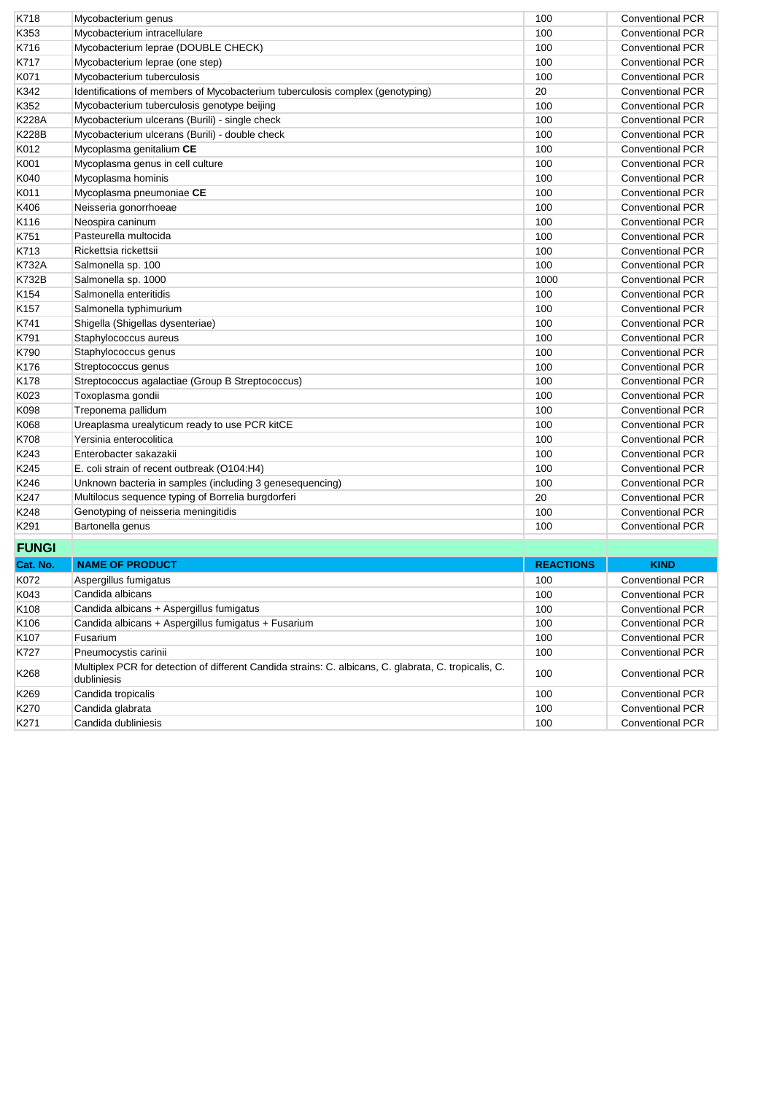| K718             | Mycobacterium genus                                                                                                  | 100              | <b>Conventional PCR</b> |
|------------------|----------------------------------------------------------------------------------------------------------------------|------------------|-------------------------|
| K353             | Mycobacterium intracellulare                                                                                         | 100              | <b>Conventional PCR</b> |
| K716             | Mycobacterium leprae (DOUBLE CHECK)                                                                                  | 100              | <b>Conventional PCR</b> |
| K717             | Mycobacterium leprae (one step)                                                                                      | 100              | <b>Conventional PCR</b> |
| K071             | Mycobacterium tuberculosis                                                                                           | 100              | <b>Conventional PCR</b> |
| K342             | Identifications of members of Mycobacterium tuberculosis complex (genotyping)                                        | 20               | <b>Conventional PCR</b> |
| K352             | Mycobacterium tuberculosis genotype beijing                                                                          | 100              | <b>Conventional PCR</b> |
| <b>K228A</b>     | Mycobacterium ulcerans (Burili) - single check                                                                       | 100              | <b>Conventional PCR</b> |
| <b>K228B</b>     | Mycobacterium ulcerans (Burili) - double check                                                                       | 100              | <b>Conventional PCR</b> |
| K012             | Mycoplasma genitalium CE                                                                                             | 100              | <b>Conventional PCR</b> |
| K001             | Mycoplasma genus in cell culture                                                                                     | 100              | <b>Conventional PCR</b> |
| K040             | Mycoplasma hominis                                                                                                   | 100              | <b>Conventional PCR</b> |
| K011             | Mycoplasma pneumoniae CE                                                                                             | 100              | <b>Conventional PCR</b> |
| K406             | Neisseria gonorrhoeae                                                                                                | 100              | <b>Conventional PCR</b> |
| K116             | Neospira caninum                                                                                                     | 100              | <b>Conventional PCR</b> |
| K751             | Pasteurella multocida                                                                                                | 100              | <b>Conventional PCR</b> |
| K713             | Rickettsia rickettsii                                                                                                | 100              | <b>Conventional PCR</b> |
| <b>K732A</b>     | Salmonella sp. 100                                                                                                   | 100              | <b>Conventional PCR</b> |
| <b>K732B</b>     | Salmonella sp. 1000                                                                                                  | 1000             | <b>Conventional PCR</b> |
| K154             | Salmonella enteritidis                                                                                               | 100              | <b>Conventional PCR</b> |
| K <sub>157</sub> | Salmonella typhimurium                                                                                               | 100              | <b>Conventional PCR</b> |
| K741             | Shigella (Shigellas dysenteriae)                                                                                     | 100              | <b>Conventional PCR</b> |
| K791             | Staphylococcus aureus                                                                                                | 100              | <b>Conventional PCR</b> |
| K790             | Staphylococcus genus                                                                                                 | 100              | <b>Conventional PCR</b> |
| K176             | Streptococcus genus                                                                                                  | 100              | <b>Conventional PCR</b> |
| K <sub>178</sub> | Streptococcus agalactiae (Group B Streptococcus)                                                                     | 100              | <b>Conventional PCR</b> |
| K023             | Toxoplasma gondii                                                                                                    | 100              | <b>Conventional PCR</b> |
| K098             | Treponema pallidum                                                                                                   | 100              | <b>Conventional PCR</b> |
| K068             | Ureaplasma urealyticum ready to use PCR kitCE                                                                        | 100              | <b>Conventional PCR</b> |
| K708             | Yersinia enterocolitica                                                                                              | 100              | <b>Conventional PCR</b> |
| K243             | Enterobacter sakazakii                                                                                               | 100              | <b>Conventional PCR</b> |
| K <sub>245</sub> | E. coli strain of recent outbreak (O104:H4)                                                                          | 100              | <b>Conventional PCR</b> |
| K246             | Unknown bacteria in samples (including 3 genesequencing)                                                             | 100              | <b>Conventional PCR</b> |
| K247             | Multilocus sequence typing of Borrelia burgdorferi                                                                   | 20               | <b>Conventional PCR</b> |
| K248             | Genotyping of neisseria meningitidis                                                                                 | 100              | <b>Conventional PCR</b> |
| K291             | Bartonella genus                                                                                                     | 100              | <b>Conventional PCR</b> |
| <b>FUNGI</b>     |                                                                                                                      |                  |                         |
|                  |                                                                                                                      |                  |                         |
| Cat. No.         | <b>NAME OF PRODUCT</b>                                                                                               | <b>REACTIONS</b> | <b>KIND</b>             |
| K072             | Aspergillus fumigatus                                                                                                | 100              | <b>Conventional PCR</b> |
| K043             | Candida albicans                                                                                                     | 100              | <b>Conventional PCR</b> |
| K <sub>108</sub> | Candida albicans + Aspergillus fumigatus                                                                             | 100              | <b>Conventional PCR</b> |
| K106             | Candida albicans + Aspergillus fumigatus + Fusarium                                                                  | 100              | Conventional PCR        |
| K107             | Fusarium                                                                                                             | 100              | Conventional PCR        |
| K727             | Pneumocystis carinii                                                                                                 | 100              | Conventional PCR        |
| K268             | Multiplex PCR for detection of different Candida strains: C. albicans, C. glabrata, C. tropicalis, C.<br>dubliniesis | 100              | Conventional PCR        |
| K269             | Candida tropicalis                                                                                                   | 100              | <b>Conventional PCR</b> |
| K270             | Candida glabrata                                                                                                     | 100              | Conventional PCR        |
| K271             | Candida dubliniesis                                                                                                  | 100              | Conventional PCR        |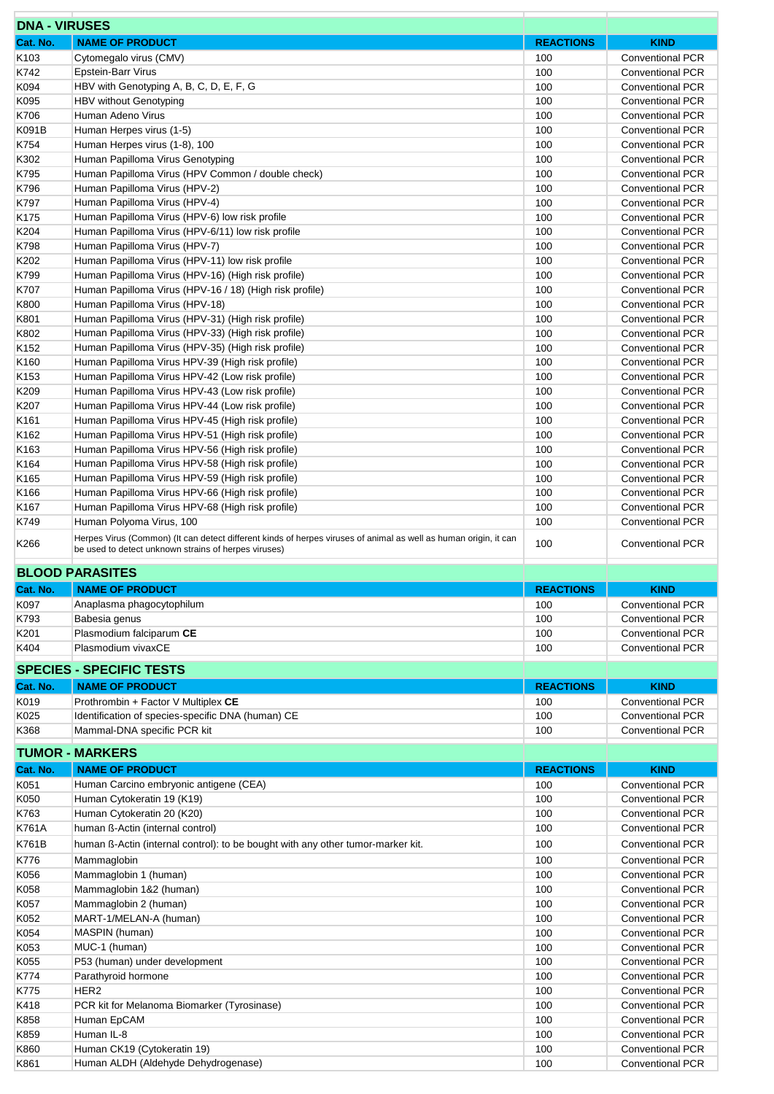| <b>DNA - VIRUSES</b>                 |                                                                                                                                                                          |                         |                                                    |
|--------------------------------------|--------------------------------------------------------------------------------------------------------------------------------------------------------------------------|-------------------------|----------------------------------------------------|
| Cat. No.                             | <b>NAME OF PRODUCT</b>                                                                                                                                                   | <b>REACTIONS</b>        | <b>KIND</b>                                        |
| K <sub>103</sub>                     | Cytomegalo virus (CMV)                                                                                                                                                   | 100                     | <b>Conventional PCR</b>                            |
| K742                                 | <b>Epstein-Barr Virus</b>                                                                                                                                                | 100                     | <b>Conventional PCR</b>                            |
| K094                                 | HBV with Genotyping A, B, C, D, E, F, G                                                                                                                                  | 100                     | <b>Conventional PCR</b>                            |
| K095                                 | <b>HBV without Genotyping</b>                                                                                                                                            | 100                     | <b>Conventional PCR</b>                            |
| K706                                 | Human Adeno Virus                                                                                                                                                        | 100                     | <b>Conventional PCR</b>                            |
| K091B<br>K754                        | Human Herpes virus (1-5)<br>Human Herpes virus (1-8), 100                                                                                                                | 100<br>100              | <b>Conventional PCR</b><br><b>Conventional PCR</b> |
| K302                                 | Human Papilloma Virus Genotyping                                                                                                                                         | 100                     | <b>Conventional PCR</b>                            |
| K795                                 | Human Papilloma Virus (HPV Common / double check)                                                                                                                        | 100                     | <b>Conventional PCR</b>                            |
| K796                                 | Human Papilloma Virus (HPV-2)                                                                                                                                            | 100                     | <b>Conventional PCR</b>                            |
| K797                                 | Human Papilloma Virus (HPV-4)                                                                                                                                            | 100                     | <b>Conventional PCR</b>                            |
| K <sub>175</sub>                     | Human Papilloma Virus (HPV-6) low risk profile                                                                                                                           | 100                     | <b>Conventional PCR</b>                            |
| K204                                 | Human Papilloma Virus (HPV-6/11) low risk profile                                                                                                                        | 100                     | <b>Conventional PCR</b>                            |
| K798                                 | Human Papilloma Virus (HPV-7)                                                                                                                                            | 100                     | <b>Conventional PCR</b>                            |
| K202                                 | Human Papilloma Virus (HPV-11) low risk profile                                                                                                                          | 100                     | <b>Conventional PCR</b>                            |
| K799                                 | Human Papilloma Virus (HPV-16) (High risk profile)                                                                                                                       | 100                     | <b>Conventional PCR</b>                            |
| K707                                 | Human Papilloma Virus (HPV-16 / 18) (High risk profile)                                                                                                                  | 100<br>100              | <b>Conventional PCR</b><br><b>Conventional PCR</b> |
| K800<br>K801                         | Human Papilloma Virus (HPV-18)<br>Human Papilloma Virus (HPV-31) (High risk profile)                                                                                     | 100                     | <b>Conventional PCR</b>                            |
| K802                                 | Human Papilloma Virus (HPV-33) (High risk profile)                                                                                                                       | 100                     | <b>Conventional PCR</b>                            |
| K <sub>152</sub>                     | Human Papilloma Virus (HPV-35) (High risk profile)                                                                                                                       | 100                     | <b>Conventional PCR</b>                            |
| K <sub>160</sub>                     | Human Papilloma Virus HPV-39 (High risk profile)                                                                                                                         | 100                     | <b>Conventional PCR</b>                            |
| K <sub>153</sub>                     | Human Papilloma Virus HPV-42 (Low risk profile)                                                                                                                          | 100                     | <b>Conventional PCR</b>                            |
| K209                                 | Human Papilloma Virus HPV-43 (Low risk profile)                                                                                                                          | 100                     | <b>Conventional PCR</b>                            |
| K207                                 | Human Papilloma Virus HPV-44 (Low risk profile)                                                                                                                          | 100                     | <b>Conventional PCR</b>                            |
| K <sub>161</sub>                     | Human Papilloma Virus HPV-45 (High risk profile)                                                                                                                         | 100                     | <b>Conventional PCR</b>                            |
| K <sub>162</sub>                     | Human Papilloma Virus HPV-51 (High risk profile)                                                                                                                         | 100                     | <b>Conventional PCR</b>                            |
| K <sub>163</sub>                     | Human Papilloma Virus HPV-56 (High risk profile)                                                                                                                         | 100                     | <b>Conventional PCR</b>                            |
| K <sub>164</sub><br>K <sub>165</sub> | Human Papilloma Virus HPV-58 (High risk profile)<br>Human Papilloma Virus HPV-59 (High risk profile)                                                                     | 100<br>100              | <b>Conventional PCR</b><br><b>Conventional PCR</b> |
| K <sub>166</sub>                     | Human Papilloma Virus HPV-66 (High risk profile)                                                                                                                         | 100                     | <b>Conventional PCR</b>                            |
| K167                                 | Human Papilloma Virus HPV-68 (High risk profile)                                                                                                                         | 100                     | Conventional PCR                                   |
| K749                                 | Human Polyoma Virus, 100                                                                                                                                                 | 100                     | Conventional PCR                                   |
| K266                                 | Herpes Virus (Common) (It can detect different kinds of herpes viruses of animal as well as human origin, it can<br>be used to detect unknown strains of herpes viruses) | 100                     | <b>Conventional PCR</b>                            |
|                                      | <b>BLOOD PARASITES</b>                                                                                                                                                   |                         |                                                    |
| Cat. No.                             | <b>NAME OF PRODUCT</b>                                                                                                                                                   | <b>REACTIONS</b><br>100 | <b>KIND</b>                                        |
| K097<br>K793                         | Anaplasma phagocytophilum<br>Babesia genus                                                                                                                               | 100                     | <b>Conventional PCR</b><br><b>Conventional PCR</b> |
| K201                                 | Plasmodium falciparum CE                                                                                                                                                 | 100                     | <b>Conventional PCR</b>                            |
| K404                                 | Plasmodium vivaxCE                                                                                                                                                       | 100                     | <b>Conventional PCR</b>                            |
|                                      | <b>SPECIES - SPECIFIC TESTS</b>                                                                                                                                          |                         |                                                    |
| Cat. No.                             | <b>NAME OF PRODUCT</b>                                                                                                                                                   | <b>REACTIONS</b>        | <b>KIND</b>                                        |
| K019                                 | Prothrombin + Factor V Multiplex CE                                                                                                                                      | 100                     | <b>Conventional PCR</b>                            |
| K025                                 | Identification of species-specific DNA (human) CE                                                                                                                        | 100                     | <b>Conventional PCR</b>                            |
| K368                                 | Mammal-DNA specific PCR kit                                                                                                                                              | 100                     | <b>Conventional PCR</b>                            |
|                                      |                                                                                                                                                                          |                         |                                                    |
|                                      | <b>TUMOR - MARKERS</b>                                                                                                                                                   |                         |                                                    |
| Cat. No.                             | <b>NAME OF PRODUCT</b>                                                                                                                                                   | <b>REACTIONS</b>        | <b>KIND</b>                                        |
| K051                                 | Human Carcino embryonic antigene (CEA)                                                                                                                                   | 100                     | <b>Conventional PCR</b>                            |
| K050<br>K763                         | Human Cytokeratin 19 (K19)<br>Human Cytokeratin 20 (K20)                                                                                                                 | 100<br>100              | <b>Conventional PCR</b><br><b>Conventional PCR</b> |
| K761A                                | human ß-Actin (internal control)                                                                                                                                         | 100                     | <b>Conventional PCR</b>                            |
| K761B                                | human ß-Actin (internal control): to be bought with any other tumor-marker kit.                                                                                          | 100                     | <b>Conventional PCR</b>                            |
| K776                                 | Mammaglobin                                                                                                                                                              | 100                     | <b>Conventional PCR</b>                            |
| K056                                 | Mammaglobin 1 (human)                                                                                                                                                    | 100                     | <b>Conventional PCR</b>                            |
| K058                                 | Mammaglobin 1&2 (human)                                                                                                                                                  | 100                     | <b>Conventional PCR</b>                            |
| K057                                 | Mammaglobin 2 (human)                                                                                                                                                    | 100                     | <b>Conventional PCR</b>                            |
| K052                                 | MART-1/MELAN-A (human)                                                                                                                                                   | 100                     | <b>Conventional PCR</b>                            |
| K054                                 | MASPIN (human)                                                                                                                                                           | 100                     | <b>Conventional PCR</b>                            |
| K053                                 | MUC-1 (human)                                                                                                                                                            | 100                     | <b>Conventional PCR</b>                            |
| K055                                 | P53 (human) under development                                                                                                                                            | 100                     | <b>Conventional PCR</b>                            |
| K774                                 | Parathyroid hormone                                                                                                                                                      | 100                     | <b>Conventional PCR</b>                            |
| K775                                 | HER2                                                                                                                                                                     | 100<br>100              | <b>Conventional PCR</b>                            |
| K418<br>K858                         | PCR kit for Melanoma Biomarker (Tyrosinase)<br>Human EpCAM                                                                                                               | 100                     | <b>Conventional PCR</b><br><b>Conventional PCR</b> |
| K859                                 | Human IL-8                                                                                                                                                               | 100                     | <b>Conventional PCR</b>                            |
| K860                                 | Human CK19 (Cytokeratin 19)                                                                                                                                              | 100                     | <b>Conventional PCR</b>                            |
| K861                                 | Human ALDH (Aldehyde Dehydrogenase)                                                                                                                                      | 100                     | <b>Conventional PCR</b>                            |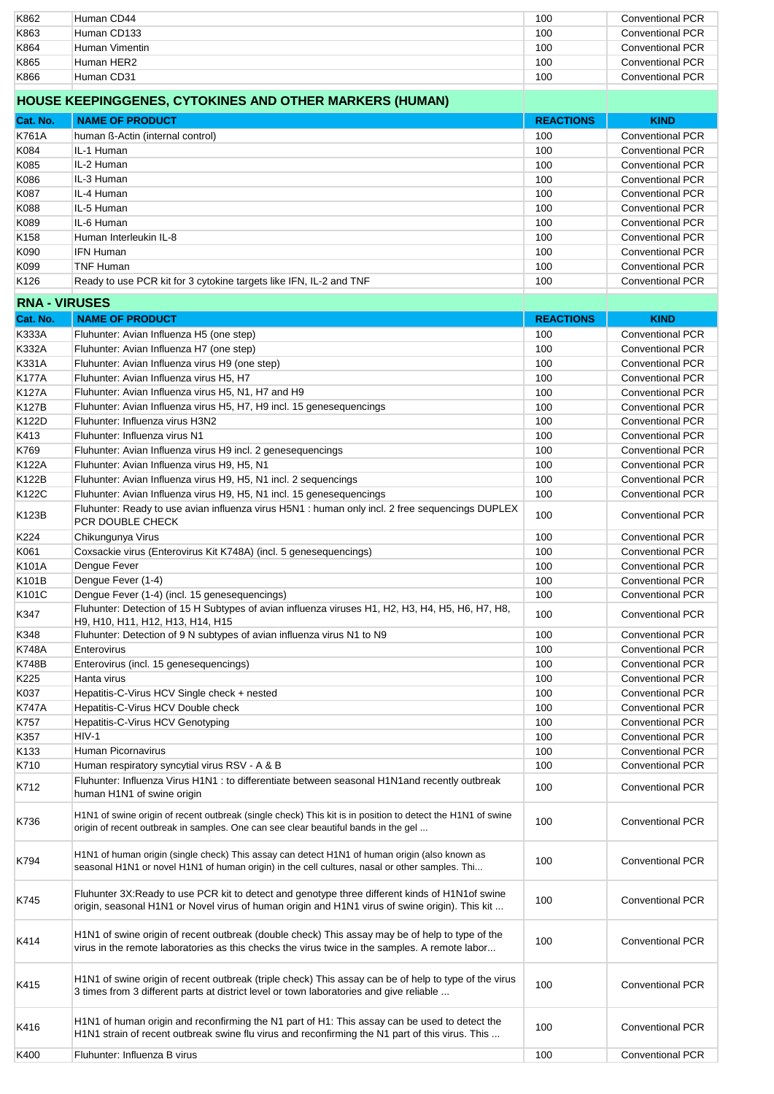| K862                 | Human CD44                                                                                                                                                                                         | 100              | <b>Conventional PCR</b> |
|----------------------|----------------------------------------------------------------------------------------------------------------------------------------------------------------------------------------------------|------------------|-------------------------|
| K863                 | Human CD133                                                                                                                                                                                        | 100              | <b>Conventional PCR</b> |
|                      |                                                                                                                                                                                                    |                  |                         |
| K864                 | Human Vimentin                                                                                                                                                                                     | 100              | <b>Conventional PCR</b> |
| K865                 | Human HER2                                                                                                                                                                                         | 100              | <b>Conventional PCR</b> |
| K866                 | Human CD31                                                                                                                                                                                         | 100              | <b>Conventional PCR</b> |
|                      |                                                                                                                                                                                                    |                  |                         |
|                      | HOUSE KEEPINGGENES, CYTOKINES AND OTHER MARKERS (HUMAN)                                                                                                                                            |                  |                         |
|                      |                                                                                                                                                                                                    |                  |                         |
| Cat. No.             | <b>NAME OF PRODUCT</b>                                                                                                                                                                             | <b>REACTIONS</b> | <b>KIND</b>             |
| K761A                | human ß-Actin (internal control)                                                                                                                                                                   | 100              | <b>Conventional PCR</b> |
| K084                 | IL-1 Human                                                                                                                                                                                         | 100              | <b>Conventional PCR</b> |
|                      |                                                                                                                                                                                                    |                  |                         |
| K085                 | IL-2 Human                                                                                                                                                                                         | 100              | <b>Conventional PCR</b> |
| K086                 | IL-3 Human                                                                                                                                                                                         | 100              | <b>Conventional PCR</b> |
| K087                 | IL-4 Human                                                                                                                                                                                         | 100              | <b>Conventional PCR</b> |
| K088                 | IL-5 Human                                                                                                                                                                                         | 100              | <b>Conventional PCR</b> |
|                      | IL-6 Human                                                                                                                                                                                         | 100              | <b>Conventional PCR</b> |
| K089                 |                                                                                                                                                                                                    |                  |                         |
| K <sub>158</sub>     | Human Interleukin IL-8                                                                                                                                                                             | 100              | <b>Conventional PCR</b> |
| K090                 | <b>IFN Human</b>                                                                                                                                                                                   | 100              | <b>Conventional PCR</b> |
| K099                 | <b>TNF Human</b>                                                                                                                                                                                   | 100              | <b>Conventional PCR</b> |
| K <sub>126</sub>     |                                                                                                                                                                                                    | 100              | <b>Conventional PCR</b> |
|                      | Ready to use PCR kit for 3 cytokine targets like IFN, IL-2 and TNF                                                                                                                                 |                  |                         |
| <b>RNA - VIRUSES</b> |                                                                                                                                                                                                    |                  |                         |
|                      |                                                                                                                                                                                                    |                  |                         |
| Cat. No.             | <b>NAME OF PRODUCT</b>                                                                                                                                                                             | <b>REACTIONS</b> | <b>KIND</b>             |
| <b>K333A</b>         | Fluhunter: Avian Influenza H5 (one step)                                                                                                                                                           | 100              | <b>Conventional PCR</b> |
| <b>K332A</b>         | Fluhunter: Avian Influenza H7 (one step)                                                                                                                                                           | 100              | <b>Conventional PCR</b> |
| K331A                | Fluhunter: Avian Influenza virus H9 (one step)                                                                                                                                                     | 100              | <b>Conventional PCR</b> |
|                      |                                                                                                                                                                                                    |                  |                         |
| <b>K177A</b>         | Fluhunter: Avian Influenza virus H5, H7                                                                                                                                                            | 100              | <b>Conventional PCR</b> |
| <b>K127A</b>         | Fluhunter: Avian Influenza virus H5, N1, H7 and H9                                                                                                                                                 | 100              | <b>Conventional PCR</b> |
| <b>K127B</b>         | Fluhunter: Avian Influenza virus H5, H7, H9 incl. 15 genesequencings                                                                                                                               | 100              | <b>Conventional PCR</b> |
| K122D                |                                                                                                                                                                                                    |                  |                         |
|                      | Fluhunter: Influenza virus H3N2                                                                                                                                                                    | 100              | <b>Conventional PCR</b> |
| K413                 | Fluhunter: Influenza virus N1                                                                                                                                                                      | 100              | <b>Conventional PCR</b> |
| K769                 | Fluhunter: Avian Influenza virus H9 incl. 2 genesequencings                                                                                                                                        | 100              | <b>Conventional PCR</b> |
| K122A                | Fluhunter: Avian Influenza virus H9, H5, N1                                                                                                                                                        | 100              | <b>Conventional PCR</b> |
|                      |                                                                                                                                                                                                    |                  |                         |
| K122B                | Fluhunter: Avian Influenza virus H9, H5, N1 incl. 2 sequencings                                                                                                                                    | 100              | <b>Conventional PCR</b> |
| K122C                | Fluhunter: Avian Influenza virus H9, H5, N1 incl. 15 genesequencings                                                                                                                               | 100              | <b>Conventional PCR</b> |
|                      | Fluhunter: Ready to use avian influenza virus H5N1 : human only incl. 2 free sequencings DUPLEX                                                                                                    |                  |                         |
| K123B                | PCR DOUBLE CHECK                                                                                                                                                                                   | 100              | <b>Conventional PCR</b> |
|                      |                                                                                                                                                                                                    |                  |                         |
| K224                 | Chikungunya Virus                                                                                                                                                                                  | 100              | <b>Conventional PCR</b> |
| K061                 | Coxsackie virus (Enterovirus Kit K748A) (incl. 5 genesequencings)                                                                                                                                  | 100              | <b>Conventional PCR</b> |
| K101A                | Dengue Fever                                                                                                                                                                                       | 100              | <b>Conventional PCR</b> |
| K101B                | Dengue Fever (1-4)                                                                                                                                                                                 | 100              | <b>Conventional PCR</b> |
|                      |                                                                                                                                                                                                    |                  |                         |
| K101C                | Dengue Fever (1-4) (incl. 15 genesequencings)                                                                                                                                                      | 100              | <b>Conventional PCR</b> |
| K347                 | Fluhunter: Detection of 15 H Subtypes of avian influenza viruses H1, H2, H3, H4, H5, H6, H7, H8,<br>H9, H10, H11, H12, H13, H14, H15                                                               | 100              | <b>Conventional PCR</b> |
| K348                 | Fluhunter: Detection of 9 N subtypes of avian influenza virus N1 to N9                                                                                                                             | 100              | <b>Conventional PCR</b> |
|                      | Enterovirus                                                                                                                                                                                        |                  | <b>Conventional PCR</b> |
| K748A                |                                                                                                                                                                                                    | 100              |                         |
| <b>K748B</b>         | Enterovirus (incl. 15 genesequencings)                                                                                                                                                             | 100              | <b>Conventional PCR</b> |
| K225                 | Hanta virus                                                                                                                                                                                        | 100              | <b>Conventional PCR</b> |
| K037                 | Hepatitis-C-Virus HCV Single check + nested                                                                                                                                                        | 100              | <b>Conventional PCR</b> |
| <b>K747A</b>         | Hepatitis-C-Virus HCV Double check                                                                                                                                                                 | 100              | <b>Conventional PCR</b> |
|                      |                                                                                                                                                                                                    |                  |                         |
| K757                 | Hepatitis-C-Virus HCV Genotyping                                                                                                                                                                   | 100              | <b>Conventional PCR</b> |
| K357                 | $HIV-1$                                                                                                                                                                                            | 100              | <b>Conventional PCR</b> |
| K133                 | Human Picornavirus                                                                                                                                                                                 | 100              | <b>Conventional PCR</b> |
| K710                 | Human respiratory syncytial virus RSV - A & B                                                                                                                                                      | 100              | <b>Conventional PCR</b> |
|                      |                                                                                                                                                                                                    |                  |                         |
| K712                 | Fluhunter: Influenza Virus H1N1 : to differentiate between seasonal H1N1and recently outbreak<br>human H1N1 of swine origin                                                                        | 100              | <b>Conventional PCR</b> |
| K736                 | H1N1 of swine origin of recent outbreak (single check) This kit is in position to detect the H1N1 of swine<br>origin of recent outbreak in samples. One can see clear beautiful bands in the gel   | 100              | <b>Conventional PCR</b> |
| K794                 | H1N1 of human origin (single check) This assay can detect H1N1 of human origin (also known as<br>seasonal H1N1 or novel H1N1 of human origin) in the cell cultures, nasal or other samples. Thi    | 100              | <b>Conventional PCR</b> |
| K745                 | Fluhunter 3X: Ready to use PCR kit to detect and genotype three different kinds of H1N1 of swine<br>origin, seasonal H1N1 or Novel virus of human origin and H1N1 virus of swine origin). This kit | 100              | <b>Conventional PCR</b> |
| K414                 | H1N1 of swine origin of recent outbreak (double check) This assay may be of help to type of the<br>virus in the remote laboratories as this checks the virus twice in the samples. A remote labor  | 100              | <b>Conventional PCR</b> |
| K415                 | H1N1 of swine origin of recent outbreak (triple check) This assay can be of help to type of the virus<br>3 times from 3 different parts at district level or town laboratories and give reliable   | 100              | <b>Conventional PCR</b> |
| K416                 | H1N1 of human origin and reconfirming the N1 part of H1: This assay can be used to detect the<br>H1N1 strain of recent outbreak swine flu virus and reconfirming the N1 part of this virus. This   | 100              | <b>Conventional PCR</b> |
| K400                 | Fluhunter: Influenza B virus                                                                                                                                                                       | 100              | <b>Conventional PCR</b> |
|                      |                                                                                                                                                                                                    |                  |                         |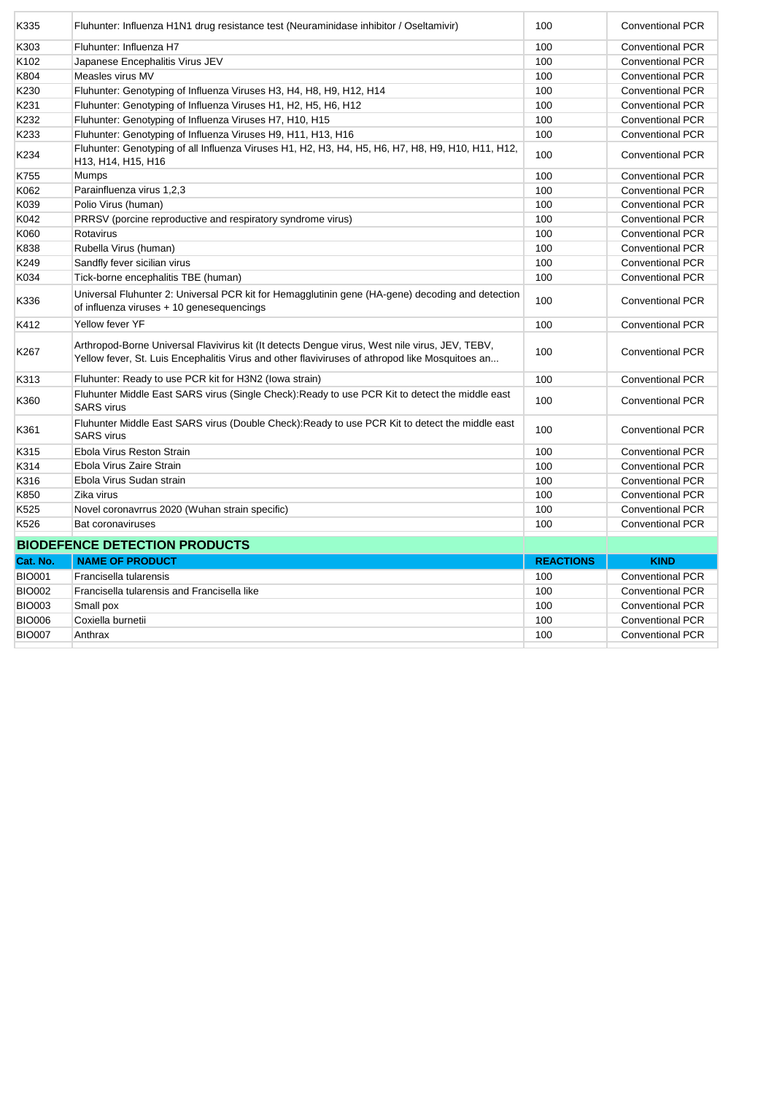| K335             | Fluhunter: Influenza H1N1 drug resistance test (Neuraminidase inhibitor / Oseltamivir)                                                                                                            | 100              | <b>Conventional PCR</b> |
|------------------|---------------------------------------------------------------------------------------------------------------------------------------------------------------------------------------------------|------------------|-------------------------|
| K303             | Fluhunter: Influenza H7                                                                                                                                                                           | 100              | <b>Conventional PCR</b> |
| K102             | Japanese Encephalitis Virus JEV                                                                                                                                                                   | 100              | <b>Conventional PCR</b> |
| K804             | Measles virus MV                                                                                                                                                                                  | 100              | <b>Conventional PCR</b> |
| K230             | Fluhunter: Genotyping of Influenza Viruses H3, H4, H8, H9, H12, H14                                                                                                                               | 100              | <b>Conventional PCR</b> |
| K231             | Fluhunter: Genotyping of Influenza Viruses H1, H2, H5, H6, H12                                                                                                                                    | 100              | <b>Conventional PCR</b> |
| K232             | Fluhunter: Genotyping of Influenza Viruses H7, H10, H15                                                                                                                                           | 100              | <b>Conventional PCR</b> |
| K233             | Fluhunter: Genotyping of Influenza Viruses H9, H11, H13, H16                                                                                                                                      | 100              | <b>Conventional PCR</b> |
| K234             | Fluhunter: Genotyping of all Influenza Viruses H1, H2, H3, H4, H5, H6, H7, H8, H9, H10, H11, H12,<br>H <sub>13</sub> , H <sub>14</sub> , H <sub>15</sub> , H <sub>16</sub>                        | 100              | <b>Conventional PCR</b> |
| K755             | Mumps                                                                                                                                                                                             | 100              | <b>Conventional PCR</b> |
| K062             | Parainfluenza virus 1,2,3                                                                                                                                                                         | 100              | <b>Conventional PCR</b> |
| K039             | Polio Virus (human)                                                                                                                                                                               | 100              | <b>Conventional PCR</b> |
| K042             | PRRSV (porcine reproductive and respiratory syndrome virus)                                                                                                                                       | 100              | <b>Conventional PCR</b> |
| K060             | Rotavirus                                                                                                                                                                                         | 100              | <b>Conventional PCR</b> |
| K838             | Rubella Virus (human)                                                                                                                                                                             | 100              | <b>Conventional PCR</b> |
| K249             | Sandfly fever sicilian virus                                                                                                                                                                      | 100              | <b>Conventional PCR</b> |
| K034             | Tick-borne encephalitis TBE (human)                                                                                                                                                               | 100              | <b>Conventional PCR</b> |
| K336             | Universal Fluhunter 2: Universal PCR kit for Hemagglutinin gene (HA-gene) decoding and detection<br>of influenza viruses + 10 genesequencings                                                     | 100              | <b>Conventional PCR</b> |
| K412             | Yellow fever YF                                                                                                                                                                                   | 100              | <b>Conventional PCR</b> |
| K267             | Arthropod-Borne Universal Flavivirus kit (It detects Dengue virus, West nile virus, JEV, TEBV,<br>Yellow fever, St. Luis Encephalitis Virus and other flaviviruses of athropod like Mosquitoes an | 100              | <b>Conventional PCR</b> |
| K313             | Fluhunter: Ready to use PCR kit for H3N2 (lowa strain)                                                                                                                                            | 100              | <b>Conventional PCR</b> |
| K360             | Fluhunter Middle East SARS virus (Single Check): Ready to use PCR Kit to detect the middle east<br><b>SARS</b> virus                                                                              | 100              | <b>Conventional PCR</b> |
| K361             | Fluhunter Middle East SARS virus (Double Check): Ready to use PCR Kit to detect the middle east<br><b>SARS</b> virus                                                                              | 100              | <b>Conventional PCR</b> |
| K315             | Ebola Virus Reston Strain                                                                                                                                                                         | 100              | <b>Conventional PCR</b> |
| K314             | Ebola Virus Zaire Strain                                                                                                                                                                          | 100              | <b>Conventional PCR</b> |
| K316             | Ebola Virus Sudan strain                                                                                                                                                                          | 100              | <b>Conventional PCR</b> |
| K850             | Zika virus                                                                                                                                                                                        | 100              | <b>Conventional PCR</b> |
| K <sub>525</sub> | Novel coronavrrus 2020 (Wuhan strain specific)                                                                                                                                                    | 100              | <b>Conventional PCR</b> |
| K526             | <b>Bat coronaviruses</b>                                                                                                                                                                          | 100              | <b>Conventional PCR</b> |
|                  | <b>BIODEFENCE DETECTION PRODUCTS</b>                                                                                                                                                              |                  |                         |
| Cat. No.         | <b>NAME OF PRODUCT</b>                                                                                                                                                                            | <b>REACTIONS</b> | <b>KIND</b>             |
| <b>BIO001</b>    | Francisella tularensis                                                                                                                                                                            | 100              | <b>Conventional PCR</b> |
| <b>BIO002</b>    | Francisella tularensis and Francisella like                                                                                                                                                       | 100              | <b>Conventional PCR</b> |
| <b>BIO003</b>    | Small pox                                                                                                                                                                                         | 100              | <b>Conventional PCR</b> |
| <b>BIO006</b>    | Coxiella burnetii                                                                                                                                                                                 | 100              | <b>Conventional PCR</b> |
| <b>BIO007</b>    | Anthrax                                                                                                                                                                                           | 100              | <b>Conventional PCR</b> |
|                  |                                                                                                                                                                                                   |                  |                         |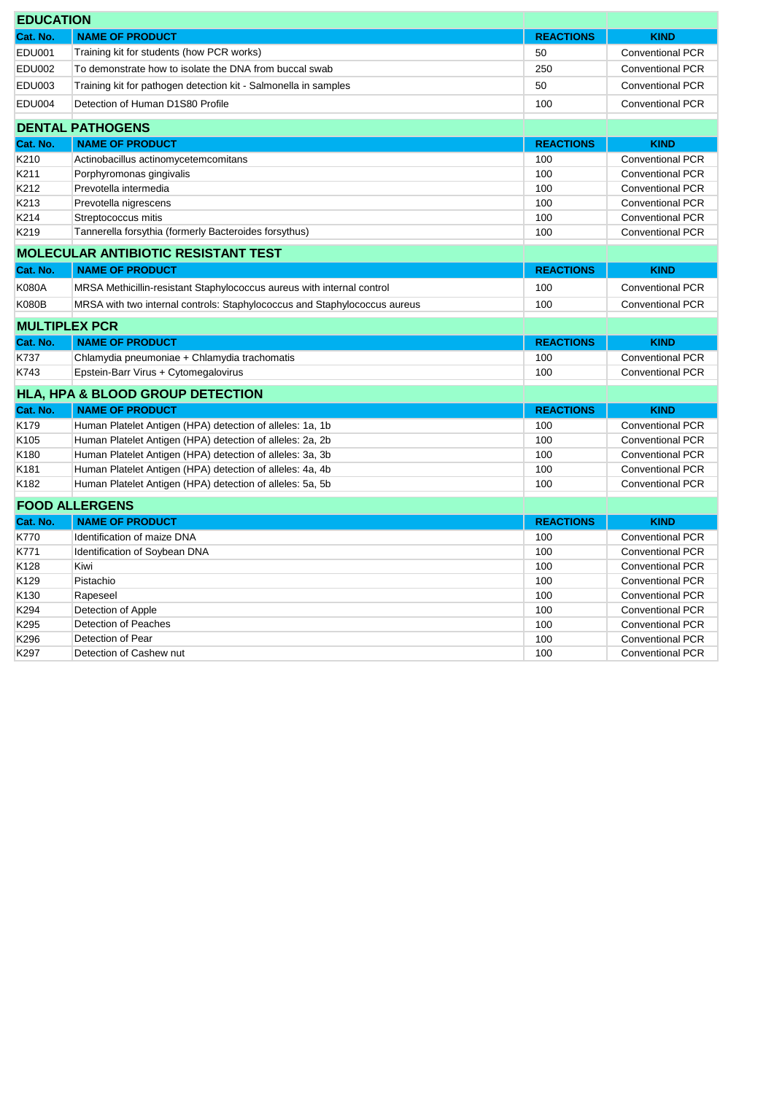| <b>EDUCATION</b>     |                                                                           |                  |                         |
|----------------------|---------------------------------------------------------------------------|------------------|-------------------------|
| Cat. No.             | <b>NAME OF PRODUCT</b>                                                    | <b>REACTIONS</b> | <b>KIND</b>             |
| <b>EDU001</b>        | Training kit for students (how PCR works)                                 | 50               | <b>Conventional PCR</b> |
| <b>EDU002</b>        | To demonstrate how to isolate the DNA from buccal swab                    | 250              | <b>Conventional PCR</b> |
| EDU003               | Training kit for pathogen detection kit - Salmonella in samples           | 50               | <b>Conventional PCR</b> |
| <b>EDU004</b>        | Detection of Human D1S80 Profile                                          | 100              | <b>Conventional PCR</b> |
|                      | <b>DENTAL PATHOGENS</b>                                                   |                  |                         |
| Cat. No.             | <b>NAME OF PRODUCT</b>                                                    | <b>REACTIONS</b> | <b>KIND</b>             |
| K210                 | Actinobacillus actinomycetemcomitans                                      | 100              | <b>Conventional PCR</b> |
| K211                 | Porphyromonas gingivalis                                                  | 100              | <b>Conventional PCR</b> |
| K212                 | Prevotella intermedia                                                     | 100              | <b>Conventional PCR</b> |
| K213                 | Prevotella nigrescens                                                     | 100              | <b>Conventional PCR</b> |
| K214                 | Streptococcus mitis                                                       | 100              | <b>Conventional PCR</b> |
| K219                 | Tannerella forsythia (formerly Bacteroides forsythus)                     | 100              | <b>Conventional PCR</b> |
|                      | <b>MOLECULAR ANTIBIOTIC RESISTANT TEST</b>                                |                  |                         |
| Cat. No.             | <b>NAME OF PRODUCT</b>                                                    | <b>REACTIONS</b> | <b>KIND</b>             |
| <b>K080A</b>         | MRSA Methicillin-resistant Staphylococcus aureus with internal control    | 100              | Conventional PCR        |
| <b>K080B</b>         | MRSA with two internal controls: Staphylococcus and Staphylococcus aureus | 100              | <b>Conventional PCR</b> |
| <b>MULTIPLEX PCR</b> |                                                                           |                  |                         |
| Cat. No.             | <b>NAME OF PRODUCT</b>                                                    | <b>REACTIONS</b> | <b>KIND</b>             |
| K737                 | Chlamydia pneumoniae + Chlamydia trachomatis                              | 100              | <b>Conventional PCR</b> |
| K743                 | Epstein-Barr Virus + Cytomegalovirus                                      | 100              | <b>Conventional PCR</b> |
|                      |                                                                           |                  |                         |
|                      |                                                                           |                  |                         |
|                      | <b>HLA, HPA &amp; BLOOD GROUP DETECTION</b>                               |                  |                         |
| Cat. No.             | <b>NAME OF PRODUCT</b>                                                    | <b>REACTIONS</b> | <b>KIND</b>             |
| K179                 | Human Platelet Antigen (HPA) detection of alleles: 1a, 1b                 | 100              | <b>Conventional PCR</b> |
| K <sub>105</sub>     | Human Platelet Antigen (HPA) detection of alleles: 2a, 2b                 | 100              | <b>Conventional PCR</b> |
| K180                 | Human Platelet Antigen (HPA) detection of alleles: 3a, 3b                 | 100              | <b>Conventional PCR</b> |
| K <sub>181</sub>     | Human Platelet Antigen (HPA) detection of alleles: 4a, 4b                 | 100              | <b>Conventional PCR</b> |
| K182                 | Human Platelet Antigen (HPA) detection of alleles: 5a, 5b                 | 100              | <b>Conventional PCR</b> |
|                      | <b>FOOD ALLERGENS</b>                                                     |                  |                         |
| Cat. No.             | <b>NAME OF PRODUCT</b>                                                    | <b>REACTIONS</b> | <b>KIND</b>             |
| K770                 | Identification of maize DNA                                               | 100              | <b>Conventional PCR</b> |
| K771                 | Identification of Soybean DNA                                             | 100              | <b>Conventional PCR</b> |
| K128                 | Kiwi                                                                      | 100              | <b>Conventional PCR</b> |
| K129                 | Pistachio                                                                 | 100              | <b>Conventional PCR</b> |
| K130                 | Rapeseel                                                                  | 100              | <b>Conventional PCR</b> |
| K294                 | Detection of Apple                                                        | 100              | <b>Conventional PCR</b> |
| K295                 | Detection of Peaches                                                      | 100              | <b>Conventional PCR</b> |
| K296                 | Detection of Pear                                                         | 100              | <b>Conventional PCR</b> |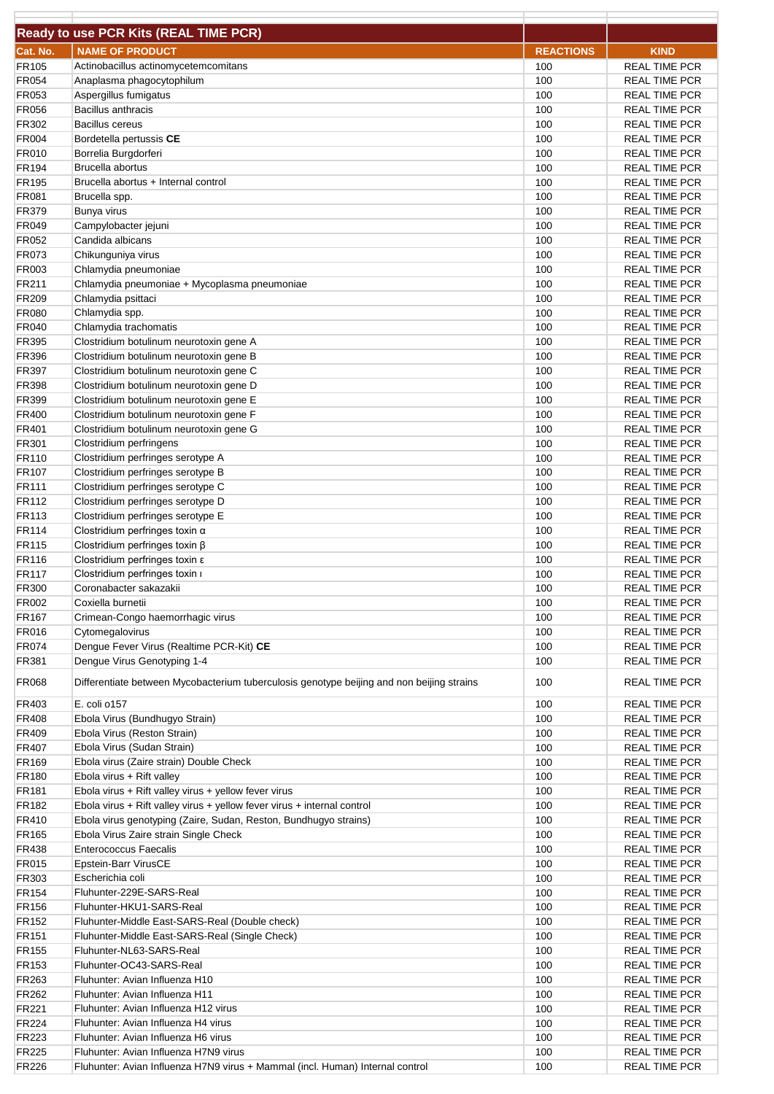|                       | Ready to use PCR Kits (REAL TIME PCR)                                                     |                  |                                              |
|-----------------------|-------------------------------------------------------------------------------------------|------------------|----------------------------------------------|
| Cat. No.              | <b>NAME OF PRODUCT</b>                                                                    | <b>REACTIONS</b> | <b>KIND</b>                                  |
| FR105                 | Actinobacillus actinomycetemcomitans                                                      | 100              | <b>REAL TIME PCR</b>                         |
| FR054<br>FR053        | Anaplasma phagocytophilum                                                                 | 100<br>100       | <b>REAL TIME PCR</b>                         |
| <b>FR056</b>          | Aspergillus fumigatus<br><b>Bacillus anthracis</b>                                        | 100              | <b>REAL TIME PCR</b><br><b>REAL TIME PCR</b> |
| FR302                 | <b>Bacillus cereus</b>                                                                    | 100              | <b>REAL TIME PCR</b>                         |
| FR004                 | Bordetella pertussis CE                                                                   | 100              | <b>REAL TIME PCR</b>                         |
| FR010                 | Borrelia Burgdorferi                                                                      | 100              | <b>REAL TIME PCR</b>                         |
| FR194                 | Brucella abortus                                                                          | 100              | <b>REAL TIME PCR</b>                         |
| <b>FR195</b>          | Brucella abortus + Internal control                                                       | 100              | <b>REAL TIME PCR</b>                         |
| FR081                 | Brucella spp.                                                                             | 100              | <b>REAL TIME PCR</b>                         |
| FR379                 | Bunya virus                                                                               | 100              | <b>REAL TIME PCR</b>                         |
| FR049                 | Campylobacter jejuni                                                                      | 100              | <b>REAL TIME PCR</b>                         |
| FR052                 | Candida albicans                                                                          | 100              | <b>REAL TIME PCR</b>                         |
| FR073                 | Chikunguniya virus                                                                        | 100              | <b>REAL TIME PCR</b>                         |
| FR003                 | Chlamydia pneumoniae                                                                      | 100              | <b>REAL TIME PCR</b>                         |
| FR211                 | Chlamydia pneumoniae + Mycoplasma pneumoniae                                              | 100              | <b>REAL TIME PCR</b>                         |
| FR209                 | Chlamydia psittaci<br>Chlamydia spp.                                                      | 100<br>100       | <b>REAL TIME PCR</b><br><b>REAL TIME PCR</b> |
| <b>FR080</b><br>FR040 | Chlamydia trachomatis                                                                     | 100              | <b>REAL TIME PCR</b>                         |
| FR395                 | Clostridium botulinum neurotoxin gene A                                                   | 100              | <b>REAL TIME PCR</b>                         |
| FR396                 | Clostridium botulinum neurotoxin gene B                                                   | 100              | <b>REAL TIME PCR</b>                         |
| FR397                 | Clostridium botulinum neurotoxin gene C                                                   | 100              | <b>REAL TIME PCR</b>                         |
| FR398                 | Clostridium botulinum neurotoxin gene D                                                   | 100              | <b>REAL TIME PCR</b>                         |
| FR399                 | Clostridium botulinum neurotoxin gene E                                                   | 100              | <b>REAL TIME PCR</b>                         |
| FR400                 | Clostridium botulinum neurotoxin gene F                                                   | 100              | <b>REAL TIME PCR</b>                         |
| FR401                 | Clostridium botulinum neurotoxin gene G                                                   | 100              | <b>REAL TIME PCR</b>                         |
| FR301                 | Clostridium perfringens                                                                   | 100              | <b>REAL TIME PCR</b>                         |
| FR110                 | Clostridium perfringes serotype A                                                         | 100              | <b>REAL TIME PCR</b>                         |
| FR107                 | Clostridium perfringes serotype B                                                         | 100              | <b>REAL TIME PCR</b>                         |
| FR111                 | Clostridium perfringes serotype C                                                         | 100              | <b>REAL TIME PCR</b>                         |
| FR112                 | Clostridium perfringes serotype D                                                         | 100              | <b>REAL TIME PCR</b>                         |
| FR113                 | Clostridium perfringes serotype E                                                         | 100              | <b>REAL TIME PCR</b>                         |
| FR114                 | Clostridium perfringes toxin $\alpha$                                                     | 100              | <b>REAL TIME PCR</b>                         |
| FR115                 | Clostridium perfringes toxin ß                                                            | 100              | <b>REAL TIME PCR</b>                         |
| FR116                 | Clostridium perfringes toxin $\varepsilon$<br>Clostridium perfringes toxin i              | 100              | <b>REAL TIME PCR</b>                         |
| <b>FR117</b><br>FR300 | Coronabacter sakazakii                                                                    | 100<br>100       | <b>REAL TIME PCR</b><br><b>REAL TIME PCR</b> |
| FR002                 | Coxiella burnetii                                                                         | 100              | <b>REAL TIME PCR</b>                         |
| <b>FR167</b>          | Crimean-Congo haemorrhagic virus                                                          | 100              | <b>REAL TIME PCR</b>                         |
| FR016                 | Cytomegalovirus                                                                           | 100              | <b>REAL TIME PCR</b>                         |
| FR074                 | Dengue Fever Virus (Realtime PCR-Kit) CE                                                  | 100              | <b>REAL TIME PCR</b>                         |
| FR381                 | Dengue Virus Genotyping 1-4                                                               | 100              | <b>REAL TIME PCR</b>                         |
| FR068                 | Differentiate between Mycobacterium tuberculosis genotype beijing and non beijing strains | 100              | <b>REAL TIME PCR</b>                         |
| FR403                 | E. coli o157                                                                              | 100              | <b>REAL TIME PCR</b>                         |
| FR408                 | Ebola Virus (Bundhugyo Strain)                                                            | 100              | <b>REAL TIME PCR</b>                         |
| FR409                 | Ebola Virus (Reston Strain)                                                               | 100              | <b>REAL TIME PCR</b>                         |
| FR407                 | Ebola Virus (Sudan Strain)                                                                | 100              | <b>REAL TIME PCR</b>                         |
| <b>FR169</b>          | Ebola virus (Zaire strain) Double Check                                                   | 100              | <b>REAL TIME PCR</b>                         |
| FR180                 | Ebola virus + Rift valley                                                                 | 100              | REAL TIME PCR                                |
| FR181                 | Ebola virus + Rift valley virus + yellow fever virus                                      | 100              | <b>REAL TIME PCR</b>                         |
| FR182                 | Ebola virus + Rift valley virus + yellow fever virus + internal control                   | 100              | <b>REAL TIME PCR</b>                         |
| FR410                 | Ebola virus genotyping (Zaire, Sudan, Reston, Bundhugyo strains)                          | 100              | <b>REAL TIME PCR</b>                         |
| FR165                 | Ebola Virus Zaire strain Single Check                                                     | 100              | <b>REAL TIME PCR</b>                         |
| FR438                 | <b>Enterococcus Faecalis</b>                                                              | 100              | <b>REAL TIME PCR</b>                         |
| FR015                 | Epstein-Barr VirusCE                                                                      | 100              | <b>REAL TIME PCR</b>                         |
| FR303                 | Escherichia coli                                                                          | 100              | <b>REAL TIME PCR</b>                         |
| FR154                 | Fluhunter-229E-SARS-Real                                                                  | 100              | <b>REAL TIME PCR</b>                         |
| FR156                 | Fluhunter-HKU1-SARS-Real                                                                  | 100              | <b>REAL TIME PCR</b>                         |
| FR152                 | Fluhunter-Middle East-SARS-Real (Double check)                                            | 100              | <b>REAL TIME PCR</b>                         |
| FR151                 | Fluhunter-Middle East-SARS-Real (Single Check)                                            | 100              | <b>REAL TIME PCR</b>                         |
| FR155                 | Fluhunter-NL63-SARS-Real                                                                  | 100              | <b>REAL TIME PCR</b>                         |
| FR153                 | Fluhunter-OC43-SARS-Real                                                                  | 100              | <b>REAL TIME PCR</b>                         |
| FR263                 | Fluhunter: Avian Influenza H10                                                            | 100              | <b>REAL TIME PCR</b>                         |
| FR262                 | Fluhunter: Avian Influenza H11<br>Fluhunter: Avian Influenza H12 virus                    | 100<br>100       | <b>REAL TIME PCR</b>                         |
| FR221<br>FR224        | Fluhunter: Avian Influenza H4 virus                                                       | 100              | <b>REAL TIME PCR</b>                         |
| FR223                 | Fluhunter: Avian Influenza H6 virus                                                       | 100              | <b>REAL TIME PCR</b><br><b>REAL TIME PCR</b> |
| FR225                 | Fluhunter: Avian Influenza H7N9 virus                                                     | 100              | <b>REAL TIME PCR</b>                         |
| <b>FR226</b>          | Fluhunter: Avian Influenza H7N9 virus + Mammal (incl. Human) Internal control             | 100              | <b>REAL TIME PCR</b>                         |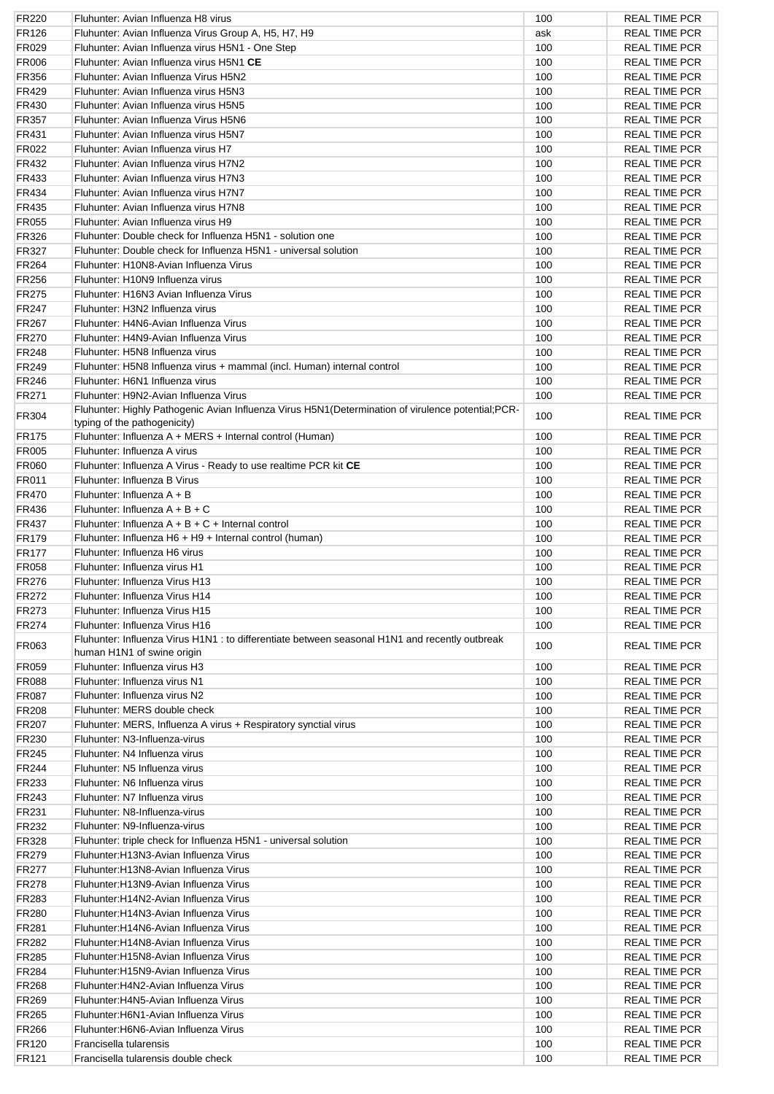| <b>FR220</b> | Fluhunter: Avian Influenza H8 virus                                                                                                 | 100 | <b>REAL TIME PCR</b> |
|--------------|-------------------------------------------------------------------------------------------------------------------------------------|-----|----------------------|
| <b>FR126</b> | Fluhunter: Avian Influenza Virus Group A, H5, H7, H9                                                                                | ask | <b>REAL TIME PCR</b> |
| FR029        | Fluhunter: Avian Influenza virus H5N1 - One Step                                                                                    | 100 | <b>REAL TIME PCR</b> |
| <b>FR006</b> | Fluhunter: Avian Influenza virus H5N1 CE                                                                                            | 100 | <b>REAL TIME PCR</b> |
| <b>FR356</b> | Fluhunter: Avian Influenza Virus H5N2                                                                                               | 100 | <b>REAL TIME PCR</b> |
| FR429        | Fluhunter: Avian Influenza virus H5N3                                                                                               | 100 | <b>REAL TIME PCR</b> |
| <b>FR430</b> | Fluhunter: Avian Influenza virus H5N5                                                                                               | 100 | <b>REAL TIME PCR</b> |
|              | Fluhunter: Avian Influenza Virus H5N6                                                                                               | 100 |                      |
| <b>FR357</b> |                                                                                                                                     |     | <b>REAL TIME PCR</b> |
| FR431        | Fluhunter: Avian Influenza virus H5N7                                                                                               | 100 | <b>REAL TIME PCR</b> |
| FR022        | Fluhunter: Avian Influenza virus H7                                                                                                 | 100 | <b>REAL TIME PCR</b> |
| FR432        | Fluhunter: Avian Influenza virus H7N2                                                                                               | 100 | <b>REAL TIME PCR</b> |
| FR433        | Fluhunter: Avian Influenza virus H7N3                                                                                               | 100 | <b>REAL TIME PCR</b> |
| <b>FR434</b> | Fluhunter: Avian Influenza virus H7N7                                                                                               | 100 | <b>REAL TIME PCR</b> |
| <b>FR435</b> | Fluhunter: Avian Influenza virus H7N8                                                                                               | 100 | <b>REAL TIME PCR</b> |
| FR055        | Fluhunter: Avian Influenza virus H9                                                                                                 | 100 | <b>REAL TIME PCR</b> |
| FR326        | Fluhunter: Double check for Influenza H5N1 - solution one                                                                           | 100 | <b>REAL TIME PCR</b> |
| FR327        | Fluhunter: Double check for Influenza H5N1 - universal solution                                                                     | 100 | <b>REAL TIME PCR</b> |
| <b>FR264</b> | Fluhunter: H10N8-Avian Influenza Virus                                                                                              | 100 | <b>REAL TIME PCR</b> |
| <b>FR256</b> | Fluhunter: H10N9 Influenza virus                                                                                                    | 100 | <b>REAL TIME PCR</b> |
|              |                                                                                                                                     |     |                      |
| <b>FR275</b> | Fluhunter: H16N3 Avian Influenza Virus                                                                                              | 100 | <b>REAL TIME PCR</b> |
| FR247        | Fluhunter: H3N2 Influenza virus                                                                                                     | 100 | <b>REAL TIME PCR</b> |
| <b>FR267</b> | Fluhunter: H4N6-Avian Influenza Virus                                                                                               | 100 | <b>REAL TIME PCR</b> |
| <b>FR270</b> | Fluhunter: H4N9-Avian Influenza Virus                                                                                               | 100 | <b>REAL TIME PCR</b> |
| <b>FR248</b> | Fluhunter: H5N8 Influenza virus                                                                                                     | 100 | <b>REAL TIME PCR</b> |
| FR249        | Fluhunter: H5N8 Influenza virus + mammal (incl. Human) internal control                                                             | 100 | <b>REAL TIME PCR</b> |
| FR246        | Fluhunter: H6N1 Influenza virus                                                                                                     | 100 | <b>REAL TIME PCR</b> |
| FR271        | Fluhunter: H9N2-Avian Influenza Virus                                                                                               | 100 | <b>REAL TIME PCR</b> |
| FR304        | Fluhunter: Highly Pathogenic Avian Influenza Virus H5N1 (Determination of virulence potential; PCR-<br>typing of the pathogenicity) | 100 | <b>REAL TIME PCR</b> |
| <b>FR175</b> | Fluhunter: Influenza A + MERS + Internal control (Human)                                                                            | 100 | <b>REAL TIME PCR</b> |
|              | Fluhunter: Influenza A virus                                                                                                        | 100 |                      |
| <b>FR005</b> |                                                                                                                                     |     | <b>REAL TIME PCR</b> |
| <b>FR060</b> | Fluhunter: Influenza A Virus - Ready to use realtime PCR kit CE                                                                     | 100 | <b>REAL TIME PCR</b> |
| FR011        | Fluhunter: Influenza B Virus                                                                                                        | 100 | <b>REAL TIME PCR</b> |
| <b>FR470</b> | Fluhunter: Influenza A + B                                                                                                          | 100 | <b>REAL TIME PCR</b> |
| <b>FR436</b> | Fluhunter: Influenza $A + B + C$                                                                                                    | 100 | <b>REAL TIME PCR</b> |
| <b>FR437</b> | Fluhunter: Influenza $A + B + C +$ Internal control                                                                                 | 100 | <b>REAL TIME PCR</b> |
| <b>FR179</b> | Fluhunter: Influenza H6 + H9 + Internal control (human)                                                                             | 100 | <b>REAL TIME PCR</b> |
| <b>FR177</b> | Fluhunter: Influenza H6 virus                                                                                                       | 100 | <b>REAL TIME PCR</b> |
| <b>FR058</b> | Fluhunter: Influenza virus H1                                                                                                       | 100 | <b>REAL TIME PCR</b> |
| FR276        | Fluhunter: Influenza Virus H13                                                                                                      | 100 | <b>REAL TIME PCR</b> |
| <b>FR272</b> | Fluhunter: Influenza Virus H14                                                                                                      | 100 | <b>REAL TIME PCR</b> |
| FR273        | Fluhunter: Influenza Virus H15                                                                                                      | 100 | <b>REAL TIME PCR</b> |
|              |                                                                                                                                     |     |                      |
| <b>FR274</b> | Fluhunter: Influenza Virus H16                                                                                                      | 100 | <b>REAL TIME PCR</b> |
| FR063        | Fluhunter: Influenza Virus H1N1 : to differentiate between seasonal H1N1 and recently outbreak<br>human H1N1 of swine origin        | 100 | <b>REAL TIME PCR</b> |
| FR059        | Fluhunter: Influenza virus H3                                                                                                       | 100 | <b>REAL TIME PCR</b> |
| <b>FR088</b> | Fluhunter: Influenza virus N1                                                                                                       | 100 | <b>REAL TIME PCR</b> |
| FR087        | Fluhunter: Influenza virus N2                                                                                                       | 100 | <b>REAL TIME PCR</b> |
| FR208        | Fluhunter: MERS double check                                                                                                        | 100 | <b>REAL TIME PCR</b> |
| <b>FR207</b> | Fluhunter: MERS, Influenza A virus + Respiratory synctial virus                                                                     | 100 | <b>REAL TIME PCR</b> |
| FR230        | Fluhunter: N3-Influenza-virus                                                                                                       | 100 | <b>REAL TIME PCR</b> |
| FR245        | Fluhunter: N4 Influenza virus                                                                                                       | 100 | <b>REAL TIME PCR</b> |
| FR244        | Fluhunter: N5 Influenza virus                                                                                                       | 100 | <b>REAL TIME PCR</b> |
| FR233        | Fluhunter: N6 Influenza virus                                                                                                       | 100 | <b>REAL TIME PCR</b> |
|              |                                                                                                                                     |     |                      |
| <b>FR243</b> | Fluhunter: N7 Influenza virus                                                                                                       | 100 | <b>REAL TIME PCR</b> |
| FR231        | Fluhunter: N8-Influenza-virus                                                                                                       | 100 | <b>REAL TIME PCR</b> |
| FR232        | Fluhunter: N9-Influenza-virus                                                                                                       | 100 | <b>REAL TIME PCR</b> |
| FR328        | Fluhunter: triple check for Influenza H5N1 - universal solution                                                                     | 100 | <b>REAL TIME PCR</b> |
| FR279        | Fluhunter: H13N3-Avian Influenza Virus                                                                                              | 100 | REAL TIME PCR        |
| FR277        | Fluhunter: H13N8-Avian Influenza Virus                                                                                              | 100 | <b>REAL TIME PCR</b> |
| <b>FR278</b> | Fluhunter: H13N9-Avian Influenza Virus                                                                                              | 100 | <b>REAL TIME PCR</b> |
| FR283        | Fluhunter: H14N2-Avian Influenza Virus                                                                                              | 100 | <b>REAL TIME PCR</b> |
| <b>FR280</b> | Fluhunter: H14N3-Avian Influenza Virus                                                                                              | 100 | <b>REAL TIME PCR</b> |
| <b>FR281</b> | Fluhunter: H14N6-Avian Influenza Virus                                                                                              | 100 | <b>REAL TIME PCR</b> |
| <b>FR282</b> | Fluhunter: H14N8-Avian Influenza Virus                                                                                              | 100 | <b>REAL TIME PCR</b> |
|              |                                                                                                                                     |     |                      |
| FR285        | Fluhunter:H15N8-Avian Influenza Virus                                                                                               | 100 | <b>REAL TIME PCR</b> |
| FR284        | Fluhunter: H15N9-Avian Influenza Virus                                                                                              | 100 | <b>REAL TIME PCR</b> |
| FR268        | Fluhunter: H4N2-Avian Influenza Virus                                                                                               | 100 | <b>REAL TIME PCR</b> |
| FR269        | Fluhunter: H4N5-Avian Influenza Virus                                                                                               | 100 | <b>REAL TIME PCR</b> |
| FR265        | Fluhunter: H6N1-Avian Influenza Virus                                                                                               | 100 | <b>REAL TIME PCR</b> |
| <b>FR266</b> | Fluhunter: H6N6-Avian Influenza Virus                                                                                               | 100 | REAL TIME PCR        |
| FR120        | Francisella tularensis                                                                                                              | 100 | <b>REAL TIME PCR</b> |
| FR121        | Francisella tularensis double check                                                                                                 | 100 | <b>REAL TIME PCR</b> |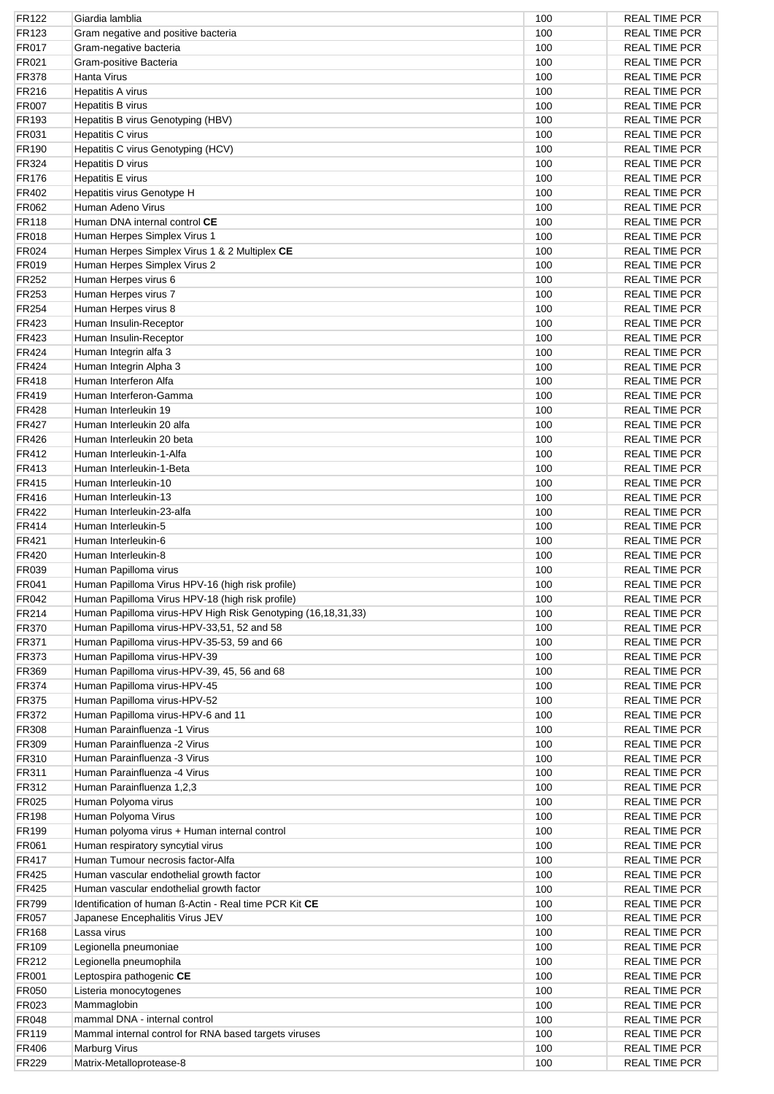| FR122        | Giardia lamblia                                              | 100 | <b>REAL TIME PCR</b> |
|--------------|--------------------------------------------------------------|-----|----------------------|
| FR123        | Gram negative and positive bacteria                          | 100 | <b>REAL TIME PCR</b> |
| <b>FR017</b> | Gram-negative bacteria                                       | 100 | <b>REAL TIME PCR</b> |
| FR021        | Gram-positive Bacteria                                       | 100 | <b>REAL TIME PCR</b> |
| FR378        | Hanta Virus                                                  | 100 | <b>REAL TIME PCR</b> |
| FR216        | Hepatitis A virus                                            | 100 | <b>REAL TIME PCR</b> |
| <b>FR007</b> | Hepatitis B virus                                            | 100 | <b>REAL TIME PCR</b> |
| FR193        | Hepatitis B virus Genotyping (HBV)                           | 100 | <b>REAL TIME PCR</b> |
| FR031        |                                                              | 100 | <b>REAL TIME PCR</b> |
|              | Hepatitis C virus                                            |     |                      |
| FR190        | Hepatitis C virus Genotyping (HCV)                           | 100 | <b>REAL TIME PCR</b> |
| FR324        | Hepatitis D virus                                            | 100 | <b>REAL TIME PCR</b> |
| <b>FR176</b> | Hepatitis E virus                                            | 100 | <b>REAL TIME PCR</b> |
| FR402        | Hepatitis virus Genotype H                                   | 100 | <b>REAL TIME PCR</b> |
| FR062        | Human Adeno Virus                                            | 100 | <b>REAL TIME PCR</b> |
| <b>FR118</b> | Human DNA internal control CE                                | 100 | <b>REAL TIME PCR</b> |
| <b>FR018</b> | Human Herpes Simplex Virus 1                                 | 100 | <b>REAL TIME PCR</b> |
| FR024        | Human Herpes Simplex Virus 1 & 2 Multiplex CE                | 100 | <b>REAL TIME PCR</b> |
| FR019        | Human Herpes Simplex Virus 2                                 | 100 | <b>REAL TIME PCR</b> |
| FR252        | Human Herpes virus 6                                         | 100 | <b>REAL TIME PCR</b> |
| FR253        | Human Herpes virus 7                                         | 100 | <b>REAL TIME PCR</b> |
| FR254        | Human Herpes virus 8                                         | 100 | <b>REAL TIME PCR</b> |
|              |                                                              |     |                      |
| FR423        | Human Insulin-Receptor                                       | 100 | <b>REAL TIME PCR</b> |
| FR423        | Human Insulin-Receptor                                       | 100 | <b>REAL TIME PCR</b> |
| FR424        | Human Integrin alfa 3                                        | 100 | <b>REAL TIME PCR</b> |
| FR424        | Human Integrin Alpha 3                                       | 100 | <b>REAL TIME PCR</b> |
| FR418        | Human Interferon Alfa                                        | 100 | <b>REAL TIME PCR</b> |
| FR419        | Human Interferon-Gamma                                       | 100 | <b>REAL TIME PCR</b> |
| <b>FR428</b> | Human Interleukin 19                                         | 100 | <b>REAL TIME PCR</b> |
| <b>FR427</b> | Human Interleukin 20 alfa                                    | 100 | <b>REAL TIME PCR</b> |
| <b>FR426</b> | Human Interleukin 20 beta                                    | 100 | <b>REAL TIME PCR</b> |
| FR412        | Human Interleukin-1-Alfa                                     | 100 | <b>REAL TIME PCR</b> |
| FR413        | Human Interleukin-1-Beta                                     | 100 | <b>REAL TIME PCR</b> |
| <b>FR415</b> | Human Interleukin-10                                         | 100 | <b>REAL TIME PCR</b> |
| FR416        | Human Interleukin-13                                         | 100 | <b>REAL TIME PCR</b> |
|              |                                                              |     |                      |
| FR422        | Human Interleukin-23-alfa                                    | 100 | <b>REAL TIME PCR</b> |
| FR414        | Human Interleukin-5                                          | 100 | <b>REAL TIME PCR</b> |
| FR421        | Human Interleukin-6                                          | 100 | <b>REAL TIME PCR</b> |
| <b>FR420</b> | Human Interleukin-8                                          | 100 | <b>REAL TIME PCR</b> |
| FR039        | Human Papilloma virus                                        | 100 | <b>REAL TIME PCR</b> |
| FR041        | Human Papilloma Virus HPV-16 (high risk profile)             | 100 | <b>REAL TIME PCR</b> |
| FR042        | Human Papilloma Virus HPV-18 (high risk profile)             | 100 | <b>REAL TIME PCR</b> |
| FR214        | Human Papilloma virus-HPV High Risk Genotyping (16,18,31,33) | 100 | <b>REAL TIME PCR</b> |
| <b>FR370</b> | Human Papilloma virus-HPV-33,51, 52 and 58                   | 100 | <b>REAL TIME PCR</b> |
| <b>FR371</b> | Human Papilloma virus-HPV-35-53, 59 and 66                   | 100 | <b>REAL TIME PCR</b> |
| FR373        | Human Papilloma virus-HPV-39                                 | 100 | <b>REAL TIME PCR</b> |
| <b>FR369</b> | Human Papilloma virus-HPV-39, 45, 56 and 68                  | 100 | <b>REAL TIME PCR</b> |
| <b>FR374</b> |                                                              | 100 | <b>REAL TIME PCR</b> |
|              | Human Papilloma virus-HPV-45                                 |     |                      |
| <b>FR375</b> | Human Papilloma virus-HPV-52                                 | 100 | <b>REAL TIME PCR</b> |
| FR372        | Human Papilloma virus-HPV-6 and 11                           | 100 | <b>REAL TIME PCR</b> |
| FR308        | Human Parainfluenza -1 Virus                                 | 100 | <b>REAL TIME PCR</b> |
| FR309        | Human Parainfluenza -2 Virus                                 | 100 | <b>REAL TIME PCR</b> |
| FR310        | Human Parainfluenza -3 Virus                                 | 100 | <b>REAL TIME PCR</b> |
| <b>FR311</b> | Human Parainfluenza -4 Virus                                 | 100 | <b>REAL TIME PCR</b> |
| FR312        | Human Parainfluenza 1,2,3                                    | 100 | <b>REAL TIME PCR</b> |
| FR025        | Human Polyoma virus                                          | 100 | <b>REAL TIME PCR</b> |
| <b>FR198</b> | Human Polyoma Virus                                          | 100 | <b>REAL TIME PCR</b> |
| FR199        | Human polyoma virus + Human internal control                 | 100 | <b>REAL TIME PCR</b> |
| FR061        | Human respiratory syncytial virus                            | 100 | <b>REAL TIME PCR</b> |
| FR417        | Human Tumour necrosis factor-Alfa                            | 100 | <b>REAL TIME PCR</b> |
|              |                                                              |     |                      |
| <b>FR425</b> | Human vascular endothelial growth factor                     | 100 | <b>REAL TIME PCR</b> |
| FR425        | Human vascular endothelial growth factor                     | 100 | <b>REAL TIME PCR</b> |
| <b>FR799</b> | Identification of human B-Actin - Real time PCR Kit CE       | 100 | <b>REAL TIME PCR</b> |
| <b>FR057</b> | Japanese Encephalitis Virus JEV                              | 100 | <b>REAL TIME PCR</b> |
| FR168        | Lassa virus                                                  | 100 | <b>REAL TIME PCR</b> |
| <b>FR109</b> | Legionella pneumoniae                                        | 100 | <b>REAL TIME PCR</b> |
| FR212        | Legionella pneumophila                                       | 100 | <b>REAL TIME PCR</b> |
| FR001        | Leptospira pathogenic CE                                     | 100 | <b>REAL TIME PCR</b> |
| FR050        | Listeria monocytogenes                                       | 100 | <b>REAL TIME PCR</b> |
| FR023        | Mammaglobin                                                  | 100 | <b>REAL TIME PCR</b> |
| FR048        | mammal DNA - internal control                                | 100 | <b>REAL TIME PCR</b> |
| <b>FR119</b> | Mammal internal control for RNA based targets viruses        | 100 | <b>REAL TIME PCR</b> |
| <b>FR406</b> |                                                              | 100 | <b>REAL TIME PCR</b> |
|              | Marburg Virus                                                |     |                      |
| FR229        | Matrix-Metalloprotease-8                                     | 100 | <b>REAL TIME PCR</b> |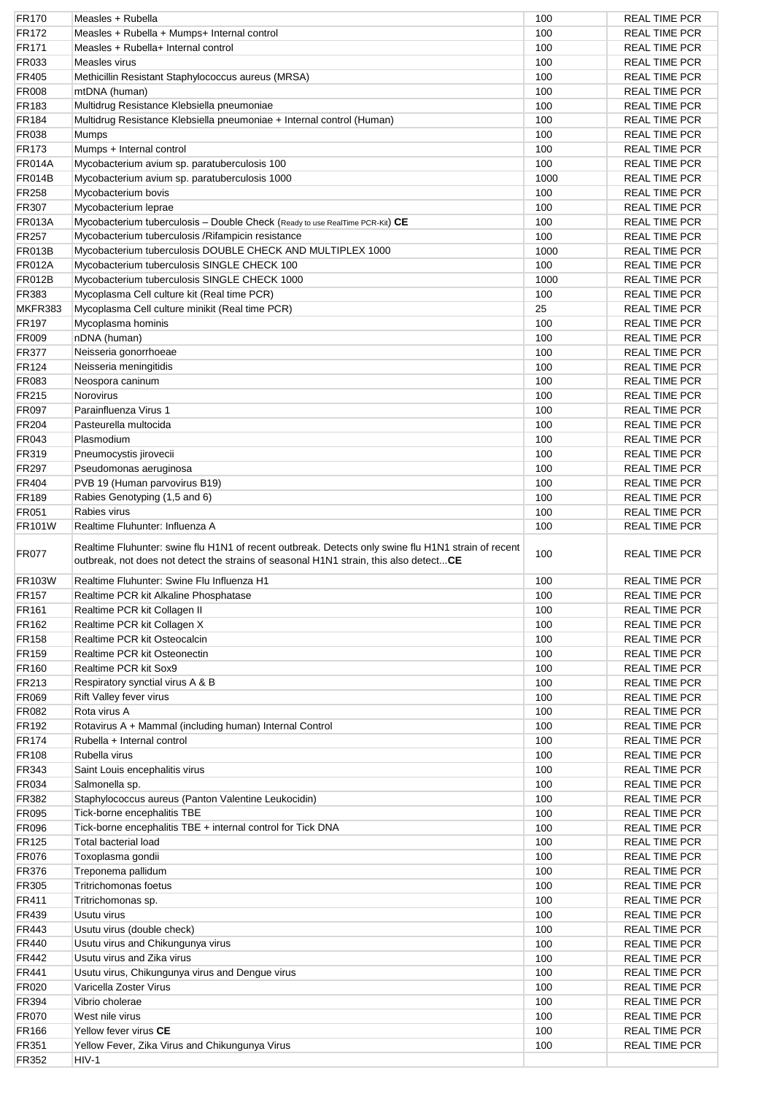| <b>FR170</b>   | Measles + Rubella                                                                                                                                                                            | 100  | <b>REAL TIME PCR</b> |
|----------------|----------------------------------------------------------------------------------------------------------------------------------------------------------------------------------------------|------|----------------------|
| <b>FR172</b>   | Measles + Rubella + Mumps+ Internal control                                                                                                                                                  | 100  | <b>REAL TIME PCR</b> |
| FR171          | Measles + Rubella+ Internal control                                                                                                                                                          | 100  | <b>REAL TIME PCR</b> |
| FR033          | Measles virus                                                                                                                                                                                | 100  | <b>REAL TIME PCR</b> |
| <b>FR405</b>   | Methicillin Resistant Staphylococcus aureus (MRSA)                                                                                                                                           | 100  | <b>REAL TIME PCR</b> |
| <b>FR008</b>   | mtDNA (human)                                                                                                                                                                                | 100  | <b>REAL TIME PCR</b> |
| <b>FR183</b>   | Multidrug Resistance Klebsiella pneumoniae                                                                                                                                                   | 100  | <b>REAL TIME PCR</b> |
| <b>FR184</b>   | Multidrug Resistance Klebsiella pneumoniae + Internal control (Human)                                                                                                                        | 100  | <b>REAL TIME PCR</b> |
|                |                                                                                                                                                                                              |      |                      |
| <b>FR038</b>   | Mumps                                                                                                                                                                                        | 100  | <b>REAL TIME PCR</b> |
| <b>FR173</b>   | Mumps + Internal control                                                                                                                                                                     | 100  | <b>REAL TIME PCR</b> |
| <b>FR014A</b>  | Mycobacterium avium sp. paratuberculosis 100                                                                                                                                                 | 100  | <b>REAL TIME PCR</b> |
| <b>FR014B</b>  | Mycobacterium avium sp. paratuberculosis 1000                                                                                                                                                | 1000 | <b>REAL TIME PCR</b> |
| FR258          | Mycobacterium bovis                                                                                                                                                                          | 100  | <b>REAL TIME PCR</b> |
| FR307          | Mycobacterium leprae                                                                                                                                                                         | 100  | <b>REAL TIME PCR</b> |
| <b>FR013A</b>  | Mycobacterium tuberculosis - Double Check (Ready to use RealTime PCR-Kit) CE                                                                                                                 | 100  | <b>REAL TIME PCR</b> |
| <b>FR257</b>   | Mycobacterium tuberculosis / Rifampicin resistance                                                                                                                                           | 100  | <b>REAL TIME PCR</b> |
| <b>FR013B</b>  | Mycobacterium tuberculosis DOUBLE CHECK AND MULTIPLEX 1000                                                                                                                                   | 1000 | <b>REAL TIME PCR</b> |
| <b>FR012A</b>  | Mycobacterium tuberculosis SINGLE CHECK 100                                                                                                                                                  | 100  | <b>REAL TIME PCR</b> |
| <b>FR012B</b>  | Mycobacterium tuberculosis SINGLE CHECK 1000                                                                                                                                                 | 1000 | <b>REAL TIME PCR</b> |
| FR383          | Mycoplasma Cell culture kit (Real time PCR)                                                                                                                                                  | 100  | <b>REAL TIME PCR</b> |
|                |                                                                                                                                                                                              |      |                      |
| MKFR383        | Mycoplasma Cell culture minikit (Real time PCR)                                                                                                                                              | 25   | <b>REAL TIME PCR</b> |
| <b>FR197</b>   | Mycoplasma hominis                                                                                                                                                                           | 100  | <b>REAL TIME PCR</b> |
| <b>FR009</b>   | nDNA (human)                                                                                                                                                                                 | 100  | <b>REAL TIME PCR</b> |
| <b>FR377</b>   | Neisseria gonorrhoeae                                                                                                                                                                        | 100  | <b>REAL TIME PCR</b> |
| FR124          | Neisseria meningitidis                                                                                                                                                                       | 100  | <b>REAL TIME PCR</b> |
| FR083          | Neospora caninum                                                                                                                                                                             | 100  | <b>REAL TIME PCR</b> |
| FR215          | <b>Norovirus</b>                                                                                                                                                                             | 100  | <b>REAL TIME PCR</b> |
| <b>FR097</b>   | Parainfluenza Virus 1                                                                                                                                                                        | 100  | <b>REAL TIME PCR</b> |
| <b>FR204</b>   | Pasteurella multocida                                                                                                                                                                        | 100  | <b>REAL TIME PCR</b> |
| FR043          | Plasmodium                                                                                                                                                                                   | 100  | <b>REAL TIME PCR</b> |
| FR319          | Pneumocystis jirovecii                                                                                                                                                                       | 100  | <b>REAL TIME PCR</b> |
| <b>FR297</b>   | Pseudomonas aeruginosa                                                                                                                                                                       | 100  | <b>REAL TIME PCR</b> |
|                |                                                                                                                                                                                              |      |                      |
| FR404          | PVB 19 (Human parvovirus B19)                                                                                                                                                                | 100  | <b>REAL TIME PCR</b> |
| <b>FR189</b>   | Rabies Genotyping (1,5 and 6)                                                                                                                                                                | 100  | <b>REAL TIME PCR</b> |
| FR051          | Rabies virus                                                                                                                                                                                 | 100  | <b>REAL TIME PCR</b> |
| <b>FR101W</b>  | Realtime Fluhunter: Influenza A                                                                                                                                                              | 100  | <b>REAL TIME PCR</b> |
|                |                                                                                                                                                                                              |      |                      |
| <b>FR077</b>   | Realtime Fluhunter: swine flu H1N1 of recent outbreak. Detects only swine flu H1N1 strain of recent<br>outbreak, not does not detect the strains of seasonal H1N1 strain, this also detectCE | 100  | <b>REAL TIME PCR</b> |
| <b>FR103W</b>  | Realtime Fluhunter: Swine Flu Influenza H1                                                                                                                                                   | 100  | <b>REAL TIME PCR</b> |
|                |                                                                                                                                                                                              |      |                      |
| <b>FR157</b>   | Realtime PCR kit Alkaline Phosphatase                                                                                                                                                        | 100  | <b>REAL TIME PCR</b> |
| FR161          | Realtime PCR kit Collagen II                                                                                                                                                                 | 100  | <b>REAL TIME PCR</b> |
| FR162          | Realtime PCR kit Collagen X                                                                                                                                                                  | 100  | <b>REAL TIME PCR</b> |
| <b>FR158</b>   | Realtime PCR kit Osteocalcin                                                                                                                                                                 | 100  | <b>REAL TIME PCR</b> |
| FR159          | Realtime PCR kit Osteonectin                                                                                                                                                                 | 100  | <b>REAL TIME PCR</b> |
| <b>FR160</b>   | Realtime PCR kit Sox9                                                                                                                                                                        | 100  | <b>REAL TIME PCR</b> |
| FR213          | Respiratory synctial virus A & B                                                                                                                                                             | 100  | <b>REAL TIME PCR</b> |
| <b>FR069</b>   | Rift Valley fever virus                                                                                                                                                                      | 100  | <b>REAL TIME PCR</b> |
| FR082          | Rota virus A                                                                                                                                                                                 | 100  | <b>REAL TIME PCR</b> |
| FR192          | Rotavirus A + Mammal (including human) Internal Control                                                                                                                                      | 100  | <b>REAL TIME PCR</b> |
| <b>FR174</b>   | Rubella + Internal control                                                                                                                                                                   | 100  | <b>REAL TIME PCR</b> |
| <b>FR108</b>   | Rubella virus                                                                                                                                                                                | 100  | <b>REAL TIME PCR</b> |
|                |                                                                                                                                                                                              | 100  |                      |
| <b>FR343</b>   | Saint Louis encephalitis virus                                                                                                                                                               |      | <b>REAL TIME PCR</b> |
| <b>FR034</b>   | Salmonella sp.                                                                                                                                                                               | 100  | <b>REAL TIME PCR</b> |
| FR382          | Staphylococcus aureus (Panton Valentine Leukocidin)                                                                                                                                          | 100  | <b>REAL TIME PCR</b> |
| <b>FR095</b>   | Tick-borne encephalitis TBE                                                                                                                                                                  | 100  | <b>REAL TIME PCR</b> |
| <b>FR096</b>   | Tick-borne encephalitis TBE + internal control for Tick DNA                                                                                                                                  | 100  | <b>REAL TIME PCR</b> |
| <b>FR125</b>   | <b>Total bacterial load</b>                                                                                                                                                                  | 100  | <b>REAL TIME PCR</b> |
| <b>FR076</b>   | Toxoplasma gondii                                                                                                                                                                            | 100  | <b>REAL TIME PCR</b> |
| <b>FR376</b>   | Treponema pallidum                                                                                                                                                                           | 100  | <b>REAL TIME PCR</b> |
| <b>FR305</b>   | <b>Tritrichomonas foetus</b>                                                                                                                                                                 | 100  | <b>REAL TIME PCR</b> |
| <b>FR411</b>   | Tritrichomonas sp.                                                                                                                                                                           | 100  | <b>REAL TIME PCR</b> |
| FR439          | Usutu virus                                                                                                                                                                                  | 100  | <b>REAL TIME PCR</b> |
| <b>FR443</b>   |                                                                                                                                                                                              | 100  | <b>REAL TIME PCR</b> |
|                | Usutu virus (double check)                                                                                                                                                                   |      |                      |
| <b>FR440</b>   | Usutu virus and Chikungunya virus                                                                                                                                                            | 100  | <b>REAL TIME PCR</b> |
| <b>FR442</b>   | Usutu virus and Zika virus                                                                                                                                                                   | 100  | <b>REAL TIME PCR</b> |
| FR441          | Usutu virus, Chikungunya virus and Dengue virus                                                                                                                                              | 100  | <b>REAL TIME PCR</b> |
| FR020          | Varicella Zoster Virus                                                                                                                                                                       | 100  | <b>REAL TIME PCR</b> |
| <b>FR394</b>   | Vibrio cholerae                                                                                                                                                                              | 100  | <b>REAL TIME PCR</b> |
| <b>FR070</b>   | West nile virus                                                                                                                                                                              | 100  | <b>REAL TIME PCR</b> |
| <b>FR166</b>   | Yellow fever virus CE                                                                                                                                                                        | 100  | <b>REAL TIME PCR</b> |
| FR351<br>FR352 | Yellow Fever, Zika Virus and Chikungunya Virus<br>HIV-1                                                                                                                                      | 100  | <b>REAL TIME PCR</b> |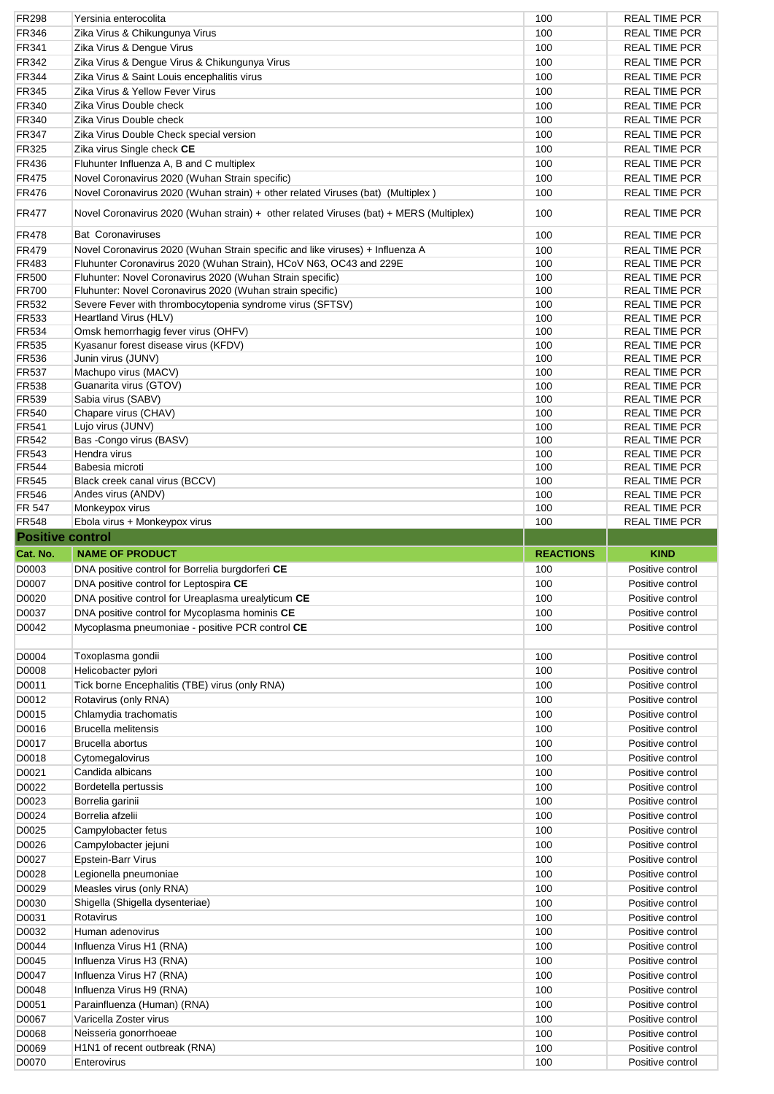| <b>FR298</b>                 | Yersinia enterocolita                                                                  | 100              | <b>REAL TIME PCR</b>                         |
|------------------------------|----------------------------------------------------------------------------------------|------------------|----------------------------------------------|
| FR346                        | Zika Virus & Chikungunya Virus                                                         | 100              | <b>REAL TIME PCR</b>                         |
| FR341                        | Zika Virus & Dengue Virus                                                              | 100              | <b>REAL TIME PCR</b>                         |
| FR342                        | Zika Virus & Dengue Virus & Chikungunya Virus                                          | 100              | <b>REAL TIME PCR</b>                         |
| <b>FR344</b>                 | Zika Virus & Saint Louis encephalitis virus                                            | 100              | <b>REAL TIME PCR</b>                         |
| FR345                        | Zika Virus & Yellow Fever Virus                                                        | 100              | <b>REAL TIME PCR</b>                         |
| FR340                        | Zika Virus Double check                                                                | 100              | <b>REAL TIME PCR</b>                         |
| FR340                        | Zika Virus Double check                                                                | 100              | <b>REAL TIME PCR</b>                         |
| <b>FR347</b>                 | Zika Virus Double Check special version                                                | 100              | <b>REAL TIME PCR</b>                         |
| FR325                        | Zika virus Single check CE                                                             | 100              | <b>REAL TIME PCR</b>                         |
| FR436                        | Fluhunter Influenza A, B and C multiplex                                               | 100              | <b>REAL TIME PCR</b>                         |
| <b>FR475</b>                 | Novel Coronavirus 2020 (Wuhan Strain specific)                                         | 100              | <b>REAL TIME PCR</b>                         |
| <b>FR476</b>                 | Novel Coronavirus 2020 (Wuhan strain) + other related Viruses (bat) (Multiplex)        | 100              | <b>REAL TIME PCR</b>                         |
| <b>FR477</b>                 | Novel Coronavirus 2020 (Wuhan strain) + other related Viruses (bat) + MERS (Multiplex) | 100              | <b>REAL TIME PCR</b>                         |
| <b>FR478</b>                 | <b>Bat Coronaviruses</b>                                                               | 100              | <b>REAL TIME PCR</b>                         |
| <b>FR479</b>                 | Novel Coronavirus 2020 (Wuhan Strain specific and like viruses) + Influenza A          | 100              | <b>REAL TIME PCR</b>                         |
| FR483                        | Fluhunter Coronavirus 2020 (Wuhan Strain), HCoV N63, OC43 and 229E                     | 100              | <b>REAL TIME PCR</b>                         |
| <b>FR500</b>                 | Fluhunter: Novel Coronavirus 2020 (Wuhan Strain specific)                              | 100              | <b>REAL TIME PCR</b>                         |
| <b>FR700</b>                 | Fluhunter: Novel Coronavirus 2020 (Wuhan strain specific)                              | 100              | <b>REAL TIME PCR</b>                         |
| FR532                        | Severe Fever with thrombocytopenia syndrome virus (SFTSV)                              | 100              | <b>REAL TIME PCR</b>                         |
| FR533                        | Heartland Virus (HLV)                                                                  | 100              | <b>REAL TIME PCR</b>                         |
| <b>FR534</b>                 | Omsk hemorrhagig fever virus (OHFV)                                                    | 100              | <b>REAL TIME PCR</b>                         |
| <b>FR535</b>                 | Kyasanur forest disease virus (KFDV)<br>Junin virus (JUNV)                             | 100              | <b>REAL TIME PCR</b>                         |
| <b>FR536</b>                 |                                                                                        | 100              | <b>REAL TIME PCR</b>                         |
| <b>FR537</b><br><b>FR538</b> | Machupo virus (MACV)<br>Guanarita virus (GTOV)                                         | 100<br>100       | <b>REAL TIME PCR</b><br><b>REAL TIME PCR</b> |
| <b>FR539</b>                 | Sabia virus (SABV)                                                                     | 100              | <b>REAL TIME PCR</b>                         |
| FR540                        | Chapare virus (CHAV)                                                                   | 100              | <b>REAL TIME PCR</b>                         |
| FR541                        | Lujo virus (JUNV)                                                                      | 100              | <b>REAL TIME PCR</b>                         |
| FR542                        | Bas -Congo virus (BASV)                                                                | 100              | <b>REAL TIME PCR</b>                         |
| FR543                        | Hendra virus                                                                           | 100              | <b>REAL TIME PCR</b>                         |
| <b>FR544</b>                 | Babesia microti                                                                        | 100              | <b>REAL TIME PCR</b>                         |
| <b>FR545</b>                 | Black creek canal virus (BCCV)                                                         | 100              | <b>REAL TIME PCR</b>                         |
| <b>FR546</b>                 | Andes virus (ANDV)                                                                     | 100              | <b>REAL TIME PCR</b>                         |
| <b>FR 547</b>                | Monkeypox virus                                                                        | 100              | <b>REAL TIME PCR</b>                         |
| <b>FR548</b>                 | Ebola virus + Monkeypox virus                                                          | 100              | <b>REAL TIME PCR</b>                         |
| <b>Positive control</b>      |                                                                                        |                  |                                              |
|                              |                                                                                        |                  |                                              |
| Cat. No.                     | <b>NAME OF PRODUCT</b>                                                                 | <b>REACTIONS</b> | <b>KIND</b>                                  |
| D0003                        |                                                                                        | 100              | Positive control                             |
|                              | DNA positive control for Borrelia burgdorferi CE                                       |                  |                                              |
| D0007                        | DNA positive control for Leptospira CE                                                 | 100              | Positive control                             |
| D0020                        | DNA positive control for Ureaplasma urealyticum CE                                     | 100              | Positive control                             |
| D0037                        | DNA positive control for Mycoplasma hominis CE                                         | 100              | Positive control                             |
| D0042                        | Mycoplasma pneumoniae - positive PCR control CE                                        | 100              | Positive control                             |
|                              |                                                                                        |                  |                                              |
| D0004                        | Toxoplasma gondii                                                                      | 100              | Positive control                             |
| D0008                        | Helicobacter pylori                                                                    | 100              | Positive control                             |
| D0011                        | Tick borne Encephalitis (TBE) virus (only RNA)                                         | 100              | Positive control                             |
| D0012                        | Rotavirus (only RNA)                                                                   | 100              | Positive control                             |
| D0015                        | Chlamydia trachomatis                                                                  | 100              | Positive control                             |
| D0016                        | <b>Brucella melitensis</b>                                                             | 100              | Positive control                             |
| D0017                        | Brucella abortus                                                                       | 100              | Positive control                             |
| D0018                        | Cytomegalovirus                                                                        | 100              | Positive control                             |
| D0021                        | Candida albicans                                                                       | 100              | Positive control                             |
| D0022                        | Bordetella pertussis                                                                   | 100              | Positive control                             |
| D0023                        | Borrelia garinii                                                                       | 100              | Positive control                             |
| D0024                        | Borrelia afzelii                                                                       | 100              | Positive control                             |
| D0025                        | Campylobacter fetus                                                                    | 100              | Positive control                             |
| D0026                        | Campylobacter jejuni                                                                   | 100              | Positive control                             |
| D0027                        | Epstein-Barr Virus                                                                     | 100              | Positive control                             |
| D0028                        | Legionella pneumoniae                                                                  | 100              | Positive control                             |
| D0029                        | Measles virus (only RNA)                                                               | 100              | Positive control                             |
| D0030                        | Shigella (Shigella dysenteriae)                                                        | 100              | Positive control                             |
| D0031                        | Rotavirus                                                                              | 100              | Positive control                             |
| D0032                        | Human adenovirus                                                                       | 100              | Positive control                             |
| D0044                        | Influenza Virus H1 (RNA)                                                               | 100              | Positive control                             |
| D0045                        | Influenza Virus H3 (RNA)                                                               | 100              | Positive control                             |
| D0047                        | Influenza Virus H7 (RNA)                                                               | 100              | Positive control                             |
| D0048                        | Influenza Virus H9 (RNA)                                                               | 100              | Positive control                             |
| D0051                        | Parainfluenza (Human) (RNA)                                                            | 100              | Positive control                             |
| D0067                        | Varicella Zoster virus                                                                 | 100              | Positive control                             |
| D0068                        | Neisseria gonorrhoeae                                                                  | 100              | Positive control                             |
| D0069<br>D0070               | H1N1 of recent outbreak (RNA)<br>Enterovirus                                           | 100<br>100       | Positive control<br>Positive control         |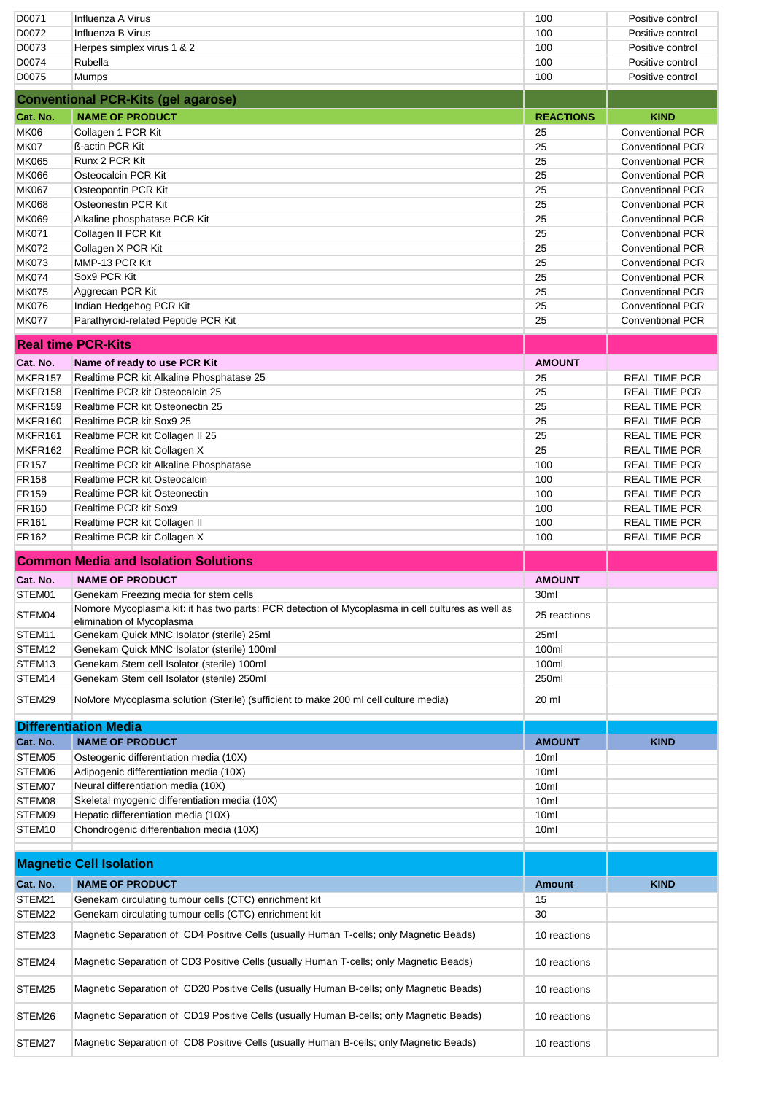| D0071             | Influenza A Virus                                                                                                                                                                 | 100                          | Positive control        |
|-------------------|-----------------------------------------------------------------------------------------------------------------------------------------------------------------------------------|------------------------------|-------------------------|
| D0072             | Influenza B Virus                                                                                                                                                                 | 100                          | Positive control        |
| D0073             | Herpes simplex virus 1 & 2                                                                                                                                                        | 100                          | Positive control        |
| D0074             | Rubella                                                                                                                                                                           | 100                          | Positive control        |
| D0075             | <b>Mumps</b>                                                                                                                                                                      | 100                          | Positive control        |
|                   | <b>Conventional PCR-Kits (gel agarose)</b>                                                                                                                                        |                              |                         |
| Cat. No.          | <b>NAME OF PRODUCT</b>                                                                                                                                                            | <b>REACTIONS</b>             | <b>KIND</b>             |
| <b>MK06</b>       | Collagen 1 PCR Kit                                                                                                                                                                | 25                           | <b>Conventional PCR</b> |
| MK07              | ß-actin PCR Kit                                                                                                                                                                   | 25                           | <b>Conventional PCR</b> |
| <b>MK065</b>      | Runx 2 PCR Kit                                                                                                                                                                    | 25                           | <b>Conventional PCR</b> |
| <b>MK066</b>      | Osteocalcin PCR Kit                                                                                                                                                               | 25                           | <b>Conventional PCR</b> |
| <b>MK067</b>      | Osteopontin PCR Kit                                                                                                                                                               | 25                           | <b>Conventional PCR</b> |
| <b>MK068</b>      | Osteonestin PCR Kit                                                                                                                                                               | 25                           | <b>Conventional PCR</b> |
| MK069             | Alkaline phosphatase PCR Kit                                                                                                                                                      | 25                           | <b>Conventional PCR</b> |
| <b>MK071</b>      | Collagen II PCR Kit                                                                                                                                                               | 25                           | <b>Conventional PCR</b> |
| <b>MK072</b>      | Collagen X PCR Kit                                                                                                                                                                | 25                           | <b>Conventional PCR</b> |
| <b>MK073</b>      | MMP-13 PCR Kit                                                                                                                                                                    | 25                           | <b>Conventional PCR</b> |
| <b>MK074</b>      | Sox9 PCR Kit                                                                                                                                                                      | 25                           | <b>Conventional PCR</b> |
| <b>MK075</b>      | Aggrecan PCR Kit                                                                                                                                                                  | 25                           | <b>Conventional PCR</b> |
| <b>MK076</b>      | Indian Hedgehog PCR Kit                                                                                                                                                           | 25                           | <b>Conventional PCR</b> |
| <b>MK077</b>      | Parathyroid-related Peptide PCR Kit                                                                                                                                               | 25                           | <b>Conventional PCR</b> |
|                   | <b>Real time PCR-Kits</b>                                                                                                                                                         |                              |                         |
| Cat. No.          | Name of ready to use PCR Kit                                                                                                                                                      | <b>AMOUNT</b>                |                         |
| MKFR157           | Realtime PCR kit Alkaline Phosphatase 25                                                                                                                                          | 25                           | <b>REAL TIME PCR</b>    |
| MKFR158           | Realtime PCR kit Osteocalcin 25                                                                                                                                                   | 25                           | <b>REAL TIME PCR</b>    |
| MKFR159           | Realtime PCR kit Osteonectin 25                                                                                                                                                   | 25                           | <b>REAL TIME PCR</b>    |
| MKFR160           | Realtime PCR kit Sox9 25                                                                                                                                                          | 25                           | <b>REAL TIME PCR</b>    |
| MKFR161           | Realtime PCR kit Collagen II 25                                                                                                                                                   | 25                           | <b>REAL TIME PCR</b>    |
| MKFR162           | Realtime PCR kit Collagen X                                                                                                                                                       | 25                           | <b>REAL TIME PCR</b>    |
| <b>FR157</b>      | Realtime PCR kit Alkaline Phosphatase                                                                                                                                             | 100                          | <b>REAL TIME PCR</b>    |
| <b>FR158</b>      | Realtime PCR kit Osteocalcin                                                                                                                                                      | 100                          | <b>REAL TIME PCR</b>    |
| FR159             | Realtime PCR kit Osteonectin                                                                                                                                                      | 100                          | <b>REAL TIME PCR</b>    |
| <b>FR160</b>      | Realtime PCR kit Sox9                                                                                                                                                             | 100                          | <b>REAL TIME PCR</b>    |
| FR <sub>161</sub> | Realtime PCR kit Collagen II                                                                                                                                                      | 100                          | <b>REAL TIME PCR</b>    |
|                   |                                                                                                                                                                                   |                              |                         |
| FR162             | Realtime PCR kit Collagen X                                                                                                                                                       | 100                          | <b>REAL TIME PCR</b>    |
|                   | <b>Common Media and Isolation Solutions</b>                                                                                                                                       |                              |                         |
|                   |                                                                                                                                                                                   |                              |                         |
| Cat. No.          | <b>NAME OF PRODUCT</b>                                                                                                                                                            | <b>AMOUNT</b>                |                         |
| STEM01<br>STEM04  | Genekam Freezing media for stem cells<br>Nomore Mycoplasma kit: it has two parts: PCR detection of Mycoplasma in cell cultures as well as                                         | 30ml<br>25 reactions         |                         |
| STEM11            | elimination of Mycoplasma                                                                                                                                                         | 25ml                         |                         |
| STEM12            | Genekam Quick MNC Isolator (sterile) 25ml<br>Genekam Quick MNC Isolator (sterile) 100ml                                                                                           | 100ml                        |                         |
| STEM13            | Genekam Stem cell Isolator (sterile) 100ml                                                                                                                                        | 100ml                        |                         |
| STEM14            | Genekam Stem cell Isolator (sterile) 250ml                                                                                                                                        | 250ml                        |                         |
| STEM29            | NoMore Mycoplasma solution (Sterile) (sufficient to make 200 ml cell culture media)                                                                                               | 20 ml                        |                         |
|                   |                                                                                                                                                                                   |                              |                         |
|                   | <b>Differentiation Media</b>                                                                                                                                                      |                              |                         |
| Cat. No.          | <b>NAME OF PRODUCT</b>                                                                                                                                                            | <b>AMOUNT</b>                | <b>KIND</b>             |
| STEM05            | Osteogenic differentiation media (10X)                                                                                                                                            | 10 <sub>ml</sub>             |                         |
| STEM06            | Adipogenic differentiation media (10X)                                                                                                                                            | 10ml                         |                         |
| STEM07            | Neural differentiation media (10X)                                                                                                                                                | 10ml                         |                         |
| STEM08<br>STEM09  | Skeletal myogenic differentiation media (10X)<br>Hepatic differentiation media (10X)                                                                                              | 10ml<br>10ml                 |                         |
| STEM10            | Chondrogenic differentiation media (10X)                                                                                                                                          | 10 <sub>ml</sub>             |                         |
|                   |                                                                                                                                                                                   |                              |                         |
|                   | <b>Magnetic Cell Isolation</b>                                                                                                                                                    |                              |                         |
| Cat. No.          | <b>NAME OF PRODUCT</b>                                                                                                                                                            | <b>Amount</b>                | <b>KIND</b>             |
| STEM21            | Genekam circulating tumour cells (CTC) enrichment kit                                                                                                                             | 15                           |                         |
| STEM22<br>STEM23  | Genekam circulating tumour cells (CTC) enrichment kit<br>Magnetic Separation of CD4 Positive Cells (usually Human T-cells; only Magnetic Beads)                                   | 30<br>10 reactions           |                         |
|                   |                                                                                                                                                                                   |                              |                         |
| STEM24            | Magnetic Separation of CD3 Positive Cells (usually Human T-cells; only Magnetic Beads)                                                                                            | 10 reactions                 |                         |
| STEM25            | Magnetic Separation of CD20 Positive Cells (usually Human B-cells; only Magnetic Beads)                                                                                           | 10 reactions                 |                         |
| STEM26<br>STEM27  | Magnetic Separation of CD19 Positive Cells (usually Human B-cells; only Magnetic Beads)<br>Magnetic Separation of CD8 Positive Cells (usually Human B-cells; only Magnetic Beads) | 10 reactions<br>10 reactions |                         |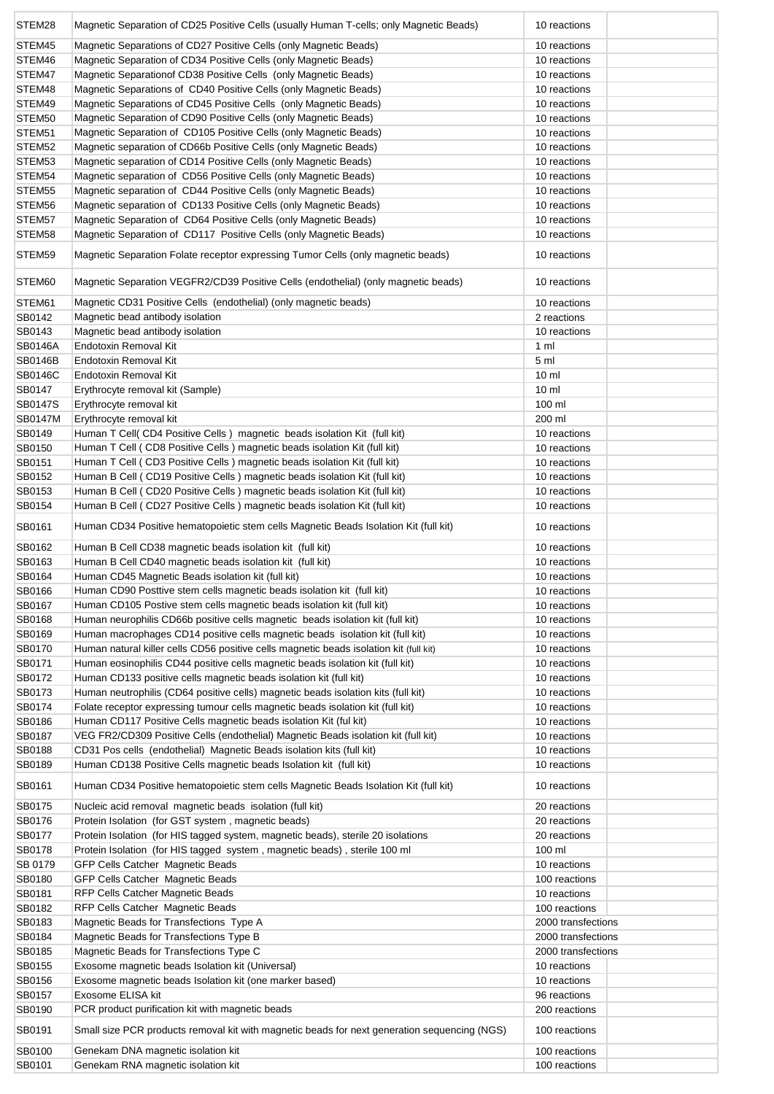| STEM28           | Magnetic Separation of CD25 Positive Cells (usually Human T-cells; only Magnetic Beads)                                                                 | 10 reactions                 |
|------------------|---------------------------------------------------------------------------------------------------------------------------------------------------------|------------------------------|
| STEM45           | Magnetic Separations of CD27 Positive Cells (only Magnetic Beads)                                                                                       | 10 reactions                 |
| STEM46           | Magnetic Separation of CD34 Positive Cells (only Magnetic Beads)                                                                                        | 10 reactions                 |
| STEM47           | Magnetic Separation of CD38 Positive Cells (only Magnetic Beads)                                                                                        | 10 reactions                 |
| STEM48           | Magnetic Separations of CD40 Positive Cells (only Magnetic Beads)                                                                                       | 10 reactions                 |
| STEM49           | Magnetic Separations of CD45 Positive Cells (only Magnetic Beads)                                                                                       | 10 reactions                 |
| STEM50           | Magnetic Separation of CD90 Positive Cells (only Magnetic Beads)                                                                                        | 10 reactions                 |
| STEM51           | Magnetic Separation of CD105 Positive Cells (only Magnetic Beads)                                                                                       | 10 reactions                 |
| STEM52           | Magnetic separation of CD66b Positive Cells (only Magnetic Beads)                                                                                       | 10 reactions                 |
| STEM53           | Magnetic separation of CD14 Positive Cells (only Magnetic Beads)                                                                                        | 10 reactions                 |
| STEM54           | Magnetic separation of CD56 Positive Cells (only Magnetic Beads)                                                                                        | 10 reactions                 |
| STEM55           | Magnetic separation of CD44 Positive Cells (only Magnetic Beads)                                                                                        | 10 reactions                 |
| STEM56           | Magnetic separation of CD133 Positive Cells (only Magnetic Beads)                                                                                       | 10 reactions                 |
| STEM57           | Magnetic Separation of CD64 Positive Cells (only Magnetic Beads)                                                                                        | 10 reactions                 |
| STEM58           | Magnetic Separation of CD117 Positive Cells (only Magnetic Beads)                                                                                       | 10 reactions                 |
| STEM59           | Magnetic Separation Folate receptor expressing Tumor Cells (only magnetic beads)                                                                        | 10 reactions                 |
| STEM60           | Magnetic Separation VEGFR2/CD39 Positive Cells (endothelial) (only magnetic beads)                                                                      | 10 reactions                 |
| STEM61           | Magnetic CD31 Positive Cells (endothelial) (only magnetic beads)                                                                                        | 10 reactions                 |
| SB0142           | Magnetic bead antibody isolation                                                                                                                        | 2 reactions                  |
| SB0143           | Magnetic bead antibody isolation                                                                                                                        | 10 reactions                 |
| SB0146A          | Endotoxin Removal Kit                                                                                                                                   | $1 \text{ ml}$               |
| SB0146B          | Endotoxin Removal Kit                                                                                                                                   | 5 <sub>m</sub>               |
| SB0146C          | Endotoxin Removal Kit                                                                                                                                   | 10 <sub>m</sub>              |
| SB0147           | Erythrocyte removal kit (Sample)                                                                                                                        | 10 <sub>m</sub>              |
| <b>SB0147S</b>   | Erythrocyte removal kit                                                                                                                                 | 100 ml                       |
| SB0147M          | Erythrocyte removal kit                                                                                                                                 | 200 ml                       |
| SB0149           | Human T Cell(CD4 Positive Cells) magnetic beads isolation Kit (full kit)                                                                                | 10 reactions                 |
| SB0150<br>SB0151 | Human T Cell (CD8 Positive Cells ) magnetic beads isolation Kit (full kit)<br>Human T Cell (CD3 Positive Cells) magnetic beads isolation Kit (full kit) | 10 reactions<br>10 reactions |
| SB0152           | Human B Cell (CD19 Positive Cells) magnetic beads isolation Kit (full kit)                                                                              | 10 reactions                 |
| SB0153           | Human B Cell (CD20 Positive Cells) magnetic beads isolation Kit (full kit)                                                                              | 10 reactions                 |
| SB0154           | Human B Cell (CD27 Positive Cells) magnetic beads isolation Kit (full kit)                                                                              | 10 reactions                 |
| SB0161           | Human CD34 Positive hematopoietic stem cells Magnetic Beads Isolation Kit (full kit)                                                                    | 10 reactions                 |
|                  |                                                                                                                                                         |                              |
| SB0162<br>SB0163 | Human B Cell CD38 magnetic beads isolation kit (full kit)<br>Human B Cell CD40 magnetic beads isolation kit (full kit)                                  | 10 reactions<br>10 reactions |
| SB0164           | Human CD45 Magnetic Beads isolation kit (full kit)                                                                                                      | 10 reactions                 |
| SB0166           | Human CD90 Posttive stem cells magnetic beads isolation kit (full kit)                                                                                  | 10 reactions                 |
| SB0167           | Human CD105 Postive stem cells magnetic beads isolation kit (full kit)                                                                                  | 10 reactions                 |
| SB0168           | Human neurophilis CD66b positive cells magnetic beads isolation kit (full kit)                                                                          | 10 reactions                 |
| SB0169           | Human macrophages CD14 positive cells magnetic beads isolation kit (full kit)                                                                           | 10 reactions                 |
| SB0170           | Human natural killer cells CD56 positive cells magnetic beads isolation kit (full kit)                                                                  | 10 reactions                 |
| SB0171           | Human eosinophilis CD44 positive cells magnetic beads isolation kit (full kit)                                                                          | 10 reactions                 |
| SB0172           | Human CD133 positive cells magnetic beads isolation kit (full kit)                                                                                      | 10 reactions                 |
| SB0173           | Human neutrophilis (CD64 positive cells) magnetic beads isolation kits (full kit)                                                                       | 10 reactions                 |
| SB0174           | Folate receptor expressing tumour cells magnetic beads isolation kit (full kit)                                                                         | 10 reactions                 |
| SB0186           | Human CD117 Positive Cells magnetic beads isolation Kit (ful kit)                                                                                       | 10 reactions                 |
| SB0187           | VEG FR2/CD309 Positive Cells (endothelial) Magnetic Beads isolation kit (full kit)                                                                      | 10 reactions                 |
| SB0188           | CD31 Pos cells (endothelial) Magnetic Beads isolation kits (full kit)                                                                                   | 10 reactions                 |
| SB0189           | Human CD138 Positive Cells magnetic beads Isolation kit (full kit)                                                                                      | 10 reactions                 |
| SB0161           | Human CD34 Positive hematopoietic stem cells Magnetic Beads Isolation Kit (full kit)                                                                    | 10 reactions                 |
| SB0175<br>SB0176 | Nucleic acid removal magnetic beads isolation (full kit)<br>Protein Isolation (for GST system, magnetic beads)                                          | 20 reactions<br>20 reactions |
| SB0177           | Protein Isolation (for HIS tagged system, magnetic beads), sterile 20 isolations                                                                        | 20 reactions                 |
| SB0178           | Protein Isolation (for HIS tagged system, magnetic beads), sterile 100 ml                                                                               | 100 ml                       |
| SB 0179          | GFP Cells Catcher Magnetic Beads                                                                                                                        | 10 reactions                 |
| SB0180           | GFP Cells Catcher Magnetic Beads                                                                                                                        | 100 reactions                |
| SB0181           | RFP Cells Catcher Magnetic Beads                                                                                                                        | 10 reactions                 |
| SB0182           | RFP Cells Catcher Magnetic Beads                                                                                                                        | 100 reactions                |
| SB0183           | Magnetic Beads for Transfections Type A                                                                                                                 | 2000 transfections           |
| SB0184           | Magnetic Beads for Transfections Type B                                                                                                                 | 2000 transfections           |
| SB0185           | Magnetic Beads for Transfections Type C                                                                                                                 | 2000 transfections           |
| SB0155           | Exosome magnetic beads Isolation kit (Universal)                                                                                                        | 10 reactions                 |
| SB0156           | Exosome magnetic beads Isolation kit (one marker based)                                                                                                 | 10 reactions                 |
| SB0157           | Exosome ELISA kit                                                                                                                                       | 96 reactions                 |
| SB0190           | PCR product purification kit with magnetic beads                                                                                                        | 200 reactions                |
| SB0191           | Small size PCR products removal kit with magnetic beads for next generation sequencing (NGS)                                                            | 100 reactions                |
| SB0100           | Genekam DNA magnetic isolation kit                                                                                                                      | 100 reactions                |
| SB0101           | Genekam RNA magnetic isolation kit                                                                                                                      | 100 reactions                |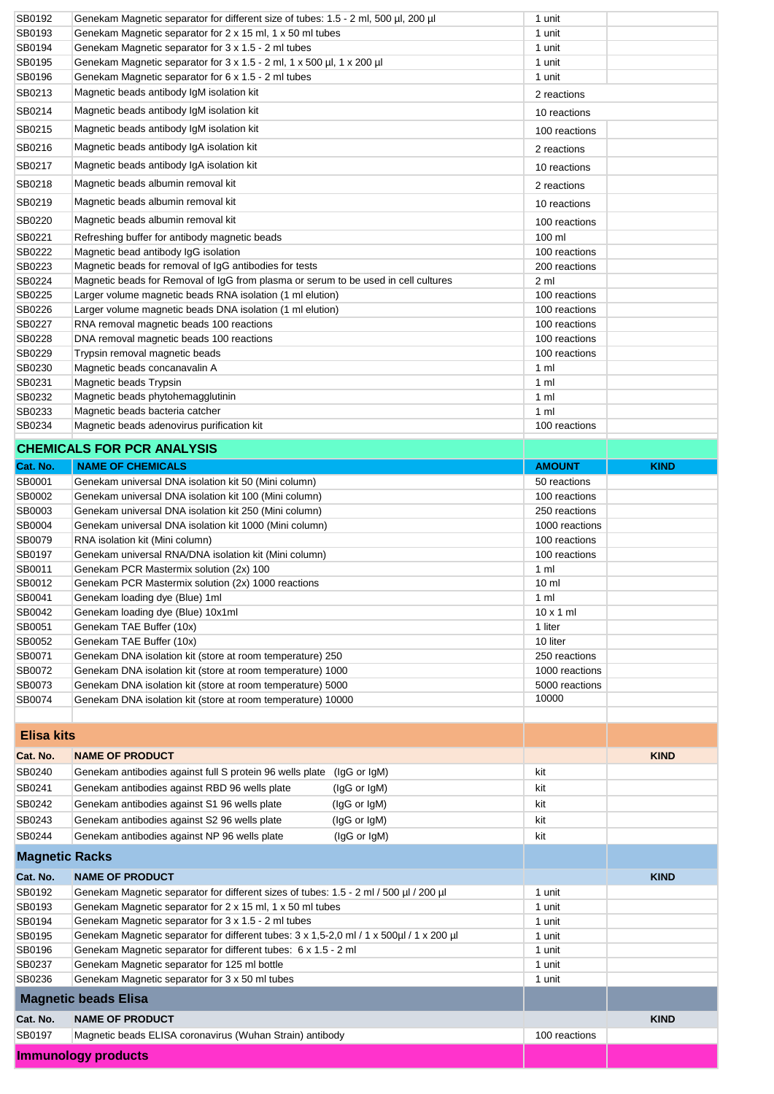| SB0192                | Genekam Magnetic separator for different size of tubes: 1.5 - 2 ml, 500 µl, 200 µl                                                                        | 1 unit                         |             |
|-----------------------|-----------------------------------------------------------------------------------------------------------------------------------------------------------|--------------------------------|-------------|
| SB0193                | Genekam Magnetic separator for 2 x 15 ml, 1 x 50 ml tubes                                                                                                 | 1 unit                         |             |
| SB0194                | Genekam Magnetic separator for 3 x 1.5 - 2 ml tubes                                                                                                       | 1 unit                         |             |
| SB0195                | Genekam Magnetic separator for 3 x 1.5 - 2 ml, 1 x 500 µl, 1 x 200 µl                                                                                     | 1 unit                         |             |
| SB0196                | Genekam Magnetic separator for 6 x 1.5 - 2 ml tubes                                                                                                       | 1 unit                         |             |
| SB0213                | Magnetic beads antibody IgM isolation kit                                                                                                                 | 2 reactions                    |             |
| SB0214                | Magnetic beads antibody IgM isolation kit                                                                                                                 | 10 reactions                   |             |
| SB0215                | Magnetic beads antibody IgM isolation kit                                                                                                                 | 100 reactions                  |             |
| SB0216                | Magnetic beads antibody IgA isolation kit                                                                                                                 | 2 reactions                    |             |
| SB0217                | Magnetic beads antibody IgA isolation kit                                                                                                                 | 10 reactions                   |             |
| SB0218                | Magnetic beads albumin removal kit                                                                                                                        | 2 reactions                    |             |
| SB0219                | Magnetic beads albumin removal kit                                                                                                                        |                                |             |
|                       |                                                                                                                                                           | 10 reactions                   |             |
| SB0220                | Magnetic beads albumin removal kit                                                                                                                        | 100 reactions                  |             |
| SB0221                | Refreshing buffer for antibody magnetic beads                                                                                                             | 100 ml                         |             |
| SB0222<br>SB0223      | Magnetic bead antibody IgG isolation<br>Magnetic beads for removal of IgG antibodies for tests                                                            | 100 reactions<br>200 reactions |             |
| SB0224                | Magnetic beads for Removal of IgG from plasma or serum to be used in cell cultures                                                                        | 2 <sub>m</sub>                 |             |
| SB0225                | Larger volume magnetic beads RNA isolation (1 ml elution)                                                                                                 | 100 reactions                  |             |
| SB0226                | Larger volume magnetic beads DNA isolation (1 ml elution)                                                                                                 | 100 reactions                  |             |
| SB0227                | RNA removal magnetic beads 100 reactions                                                                                                                  | 100 reactions                  |             |
| SB0228                | DNA removal magnetic beads 100 reactions                                                                                                                  | 100 reactions                  |             |
| SB0229                | Trypsin removal magnetic beads                                                                                                                            | 100 reactions                  |             |
| SB0230                | Magnetic beads concanavalin A                                                                                                                             | 1 ml                           |             |
| SB0231                | Magnetic beads Trypsin                                                                                                                                    | 1 ml                           |             |
| SB0232                | Magnetic beads phytohemagglutinin                                                                                                                         | 1 ml                           |             |
| SB0233                | Magnetic beads bacteria catcher                                                                                                                           | 1 <sub>m</sub>                 |             |
| SB0234                | Magnetic beads adenovirus purification kit                                                                                                                | 100 reactions                  |             |
|                       | <b>CHEMICALS FOR PCR ANALYSIS</b>                                                                                                                         |                                |             |
| Cat. No.              | <b>NAME OF CHEMICALS</b>                                                                                                                                  | <b>AMOUNT</b>                  | <b>KIND</b> |
| SB0001                | Genekam universal DNA isolation kit 50 (Mini column)                                                                                                      | 50 reactions                   |             |
| SB0002                | Genekam universal DNA isolation kit 100 (Mini column)                                                                                                     | 100 reactions                  |             |
| SB0003                | Genekam universal DNA isolation kit 250 (Mini column)                                                                                                     | 250 reactions                  |             |
| SB0004                | Genekam universal DNA isolation kit 1000 (Mini column)                                                                                                    | 1000 reactions                 |             |
| SB0079<br>SB0197      | RNA isolation kit (Mini column)                                                                                                                           | 100 reactions                  |             |
|                       | Genekam universal RNA/DNA isolation kit (Mini column)                                                                                                     | 100 reactions                  |             |
|                       |                                                                                                                                                           |                                |             |
| SB0011                | Genekam PCR Mastermix solution (2x) 100                                                                                                                   | 1 ml                           |             |
| SB0012                | Genekam PCR Mastermix solution (2x) 1000 reactions                                                                                                        | 10 <sub>m</sub>                |             |
| SB0041<br>SB0042      | Genekam loading dye (Blue) 1ml<br>Genekam loading dye (Blue) 10x1ml                                                                                       | 1 ml<br>$10 \times 1$ ml       |             |
| SB0051                | Genekam TAE Buffer (10x)                                                                                                                                  | 1 liter                        |             |
| SB0052                | Genekam TAE Buffer (10x)                                                                                                                                  | 10 liter                       |             |
| SB0071                | Genekam DNA isolation kit (store at room temperature) 250                                                                                                 | 250 reactions                  |             |
| SB0072                | Genekam DNA isolation kit (store at room temperature) 1000                                                                                                | 1000 reactions                 |             |
| SB0073                | Genekam DNA isolation kit (store at room temperature) 5000                                                                                                | 5000 reactions                 |             |
| SB0074                | Genekam DNA isolation kit (store at room temperature) 10000                                                                                               | 10000                          |             |
|                       |                                                                                                                                                           |                                |             |
| <b>Elisa kits</b>     |                                                                                                                                                           |                                |             |
| Cat. No.              | <b>NAME OF PRODUCT</b>                                                                                                                                    |                                | <b>KIND</b> |
| SB0240                | Genekam antibodies against full S protein 96 wells plate<br>(IgG or IgM)                                                                                  | kit                            |             |
| SB0241                | Genekam antibodies against RBD 96 wells plate<br>(IgG or IgM)                                                                                             | kit                            |             |
| SB0242                | Genekam antibodies against S1 96 wells plate<br>(IgG or IgM)                                                                                              | kit                            |             |
| SB0243                | Genekam antibodies against S2 96 wells plate<br>(IgG or IgM)                                                                                              | kit                            |             |
| SB0244                | Genekam antibodies against NP 96 wells plate<br>(IgG or IgM)                                                                                              | kit                            |             |
|                       |                                                                                                                                                           |                                |             |
| <b>Magnetic Racks</b> |                                                                                                                                                           |                                |             |
| Cat. No.              | <b>NAME OF PRODUCT</b>                                                                                                                                    |                                | <b>KIND</b> |
| SB0192                | Genekam Magnetic separator for different sizes of tubes: 1.5 - 2 ml / 500 µl / 200 µl                                                                     | 1 unit                         |             |
| SB0193                | Genekam Magnetic separator for 2 x 15 ml, 1 x 50 ml tubes                                                                                                 | 1 unit                         |             |
| SB0194                | Genekam Magnetic separator for 3 x 1.5 - 2 ml tubes                                                                                                       | 1 unit                         |             |
| SB0195<br>SB0196      | Genekam Magnetic separator for different tubes: 3 x 1,5-2,0 ml / 1 x 500µl / 1 x 200 µl<br>Genekam Magnetic separator for different tubes: 6 x 1.5 - 2 ml | 1 unit<br>1 unit               |             |
| SB0237                | Genekam Magnetic separator for 125 ml bottle                                                                                                              | 1 unit                         |             |
| SB0236                | Genekam Magnetic separator for 3 x 50 ml tubes                                                                                                            | 1 unit                         |             |
|                       |                                                                                                                                                           |                                |             |
|                       | <b>Magnetic beads Elisa</b>                                                                                                                               |                                |             |
| Cat. No.              | <b>NAME OF PRODUCT</b>                                                                                                                                    |                                | <b>KIND</b> |
| SB0197                | Magnetic beads ELISA coronavirus (Wuhan Strain) antibody<br><b>Immunology products</b>                                                                    | 100 reactions                  |             |